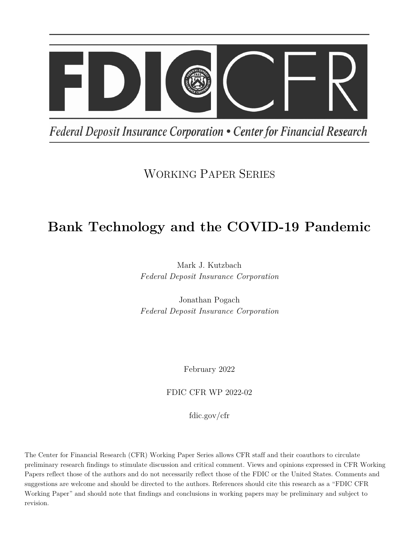

Federal Deposit Insurance Corporation • Center for Financial Research

## WORKING PAPER SERIES

# **Bank Technology and the COVID-19 Pandemic**

Mark J. Kutzbach *Federal Deposit Insurance Corporation*

Jonathan Pogach *Federal Deposit Insurance Corporation*

February 2022

FDIC CFR WP 2022-02

fdic.gov/cfr

The Center for Financial Research (CFR) Working Paper Series allows CFR staff and their coauthors to circulate preliminary research findings to stimulate discussion and critical comment. Views and opinions expressed in CFR Working Papers reflect those of the authors and do not necessarily reflect those of the FDIC or the United States. Comments and suggestions are welcome and should be directed to the authors. References should cite this research as a "FDIC CFR Working Paper" and should note that findings and conclusions in working papers may be preliminary and subject to revision.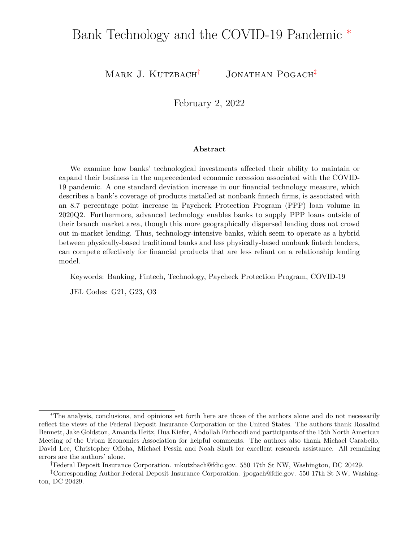## Bank Technology and the COVID-19 Pandemic <sup>∗</sup>

Mark J. Kutzbach<sup>†</sup> Jonathan Pogach<sup>‡</sup>

February 2, 2022

#### **Abstract**

We examine how banks' technological investments affected their ability to maintain or expand their business in the unprecedented economic recession associated with the COVID-19 pandemic. A one standard deviation increase in our financial technology measure, which describes a bank's coverage of products installed at nonbank fintech firms, is associated with an 8.7 percentage point increase in Paycheck Protection Program (PPP) loan volume in 2020Q2. Furthermore, advanced technology enables banks to supply PPP loans outside of their branch market area, though this more geographically dispersed lending does not crowd out in-market lending. Thus, technology-intensive banks, which seem to operate as a hybrid between physically-based traditional banks and less physically-based nonbank fintech lenders, can compete effectively for financial products that are less reliant on a relationship lending model.

Keywords: Banking, Fintech, Technology, Paycheck Protection Program, COVID-19

JEL Codes: G21, G23, O3

<sup>∗</sup>The analysis, conclusions, and opinions set forth here are those of the authors alone and do not necessarily reflect the views of the Federal Deposit Insurance Corporation or the United States. The authors thank Rosalind Bennett, Jake Goldston, Amanda Heitz, Hua Kiefer, Abdollah Farhoodi and participants of the 15th North American Meeting of the Urban Economics Association for helpful comments. The authors also thank Michael Carabello, David Lee, Christopher Offoha, Michael Pessin and Noah Shult for excellent research assistance. All remaining errors are the authors' alone.

<sup>†</sup>Federal Deposit Insurance Corporation. mkutzbach@fdic.gov. 550 17th St NW, Washington, DC 20429.

<sup>‡</sup>Corresponding Author:Federal Deposit Insurance Corporation. jpogach@fdic.gov. 550 17th St NW, Washington, DC 20429.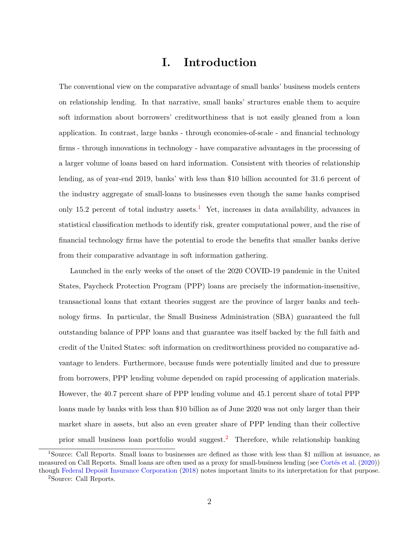### **I. Introduction**

The conventional view on the comparative advantage of small banks' business models centers on relationship lending. In that narrative, small banks' structures enable them to acquire soft information about borrowers' creditworthiness that is not easily gleaned from a loan application. In contrast, large banks - through economies-of-scale - and financial technology firms - through innovations in technology - have comparative advantages in the processing of a larger volume of loans based on hard information. Consistent with theories of relationship lending, as of year-end 2019, banks' with less than \$10 billion accounted for 31.6 percent of the industry aggregate of small-loans to businesses even though the same banks comprised only [1](#page-2-0)5.2 percent of total industry assets.<sup>1</sup> Yet, increases in data availability, advances in statistical classification methods to identify risk, greater computational power, and the rise of financial technology firms have the potential to erode the benefits that smaller banks derive from their comparative advantage in soft information gathering.

Launched in the early weeks of the onset of the 2020 COVID-19 pandemic in the United States, Paycheck Protection Program (PPP) loans are precisely the information-insensitive, transactional loans that extant theories suggest are the province of larger banks and technology firms. In particular, the Small Business Administration (SBA) guaranteed the full outstanding balance of PPP loans and that guarantee was itself backed by the full faith and credit of the United States: soft information on creditworthiness provided no comparative advantage to lenders. Furthermore, because funds were potentially limited and due to pressure from borrowers, PPP lending volume depended on rapid processing of application materials. However, the 40.7 percent share of PPP lending volume and 45.1 percent share of total PPP loans made by banks with less than \$10 billion as of June 2020 was not only larger than their market share in assets, but also an even greater share of PPP lending than their collective prior small business loan portfolio would suggest.<sup>[2](#page-2-1)</sup> Therefore, while relationship banking

<span id="page-2-1"></span><span id="page-2-0"></span><sup>1</sup>Source: Call Reports. Small loans to businesses are defined as those with less than \$1 million at issuance, as measured on Call Reports. Small loans are often used as a proxy for small-business lending (see [Cortés et al.](#page-29-0) [\(2020\)](#page-29-0)) though [Federal Deposit Insurance Corporation](#page-29-1) [\(2018\)](#page-29-1) notes important limits to its interpretation for that purpose. <sup>2</sup>Source: Call Reports.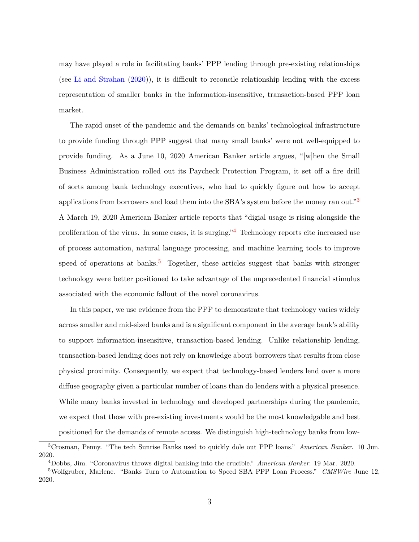may have played a role in facilitating banks' PPP lending through pre-existing relationships (see [Li and Strahan](#page-29-2) [\(2020\)](#page-29-2)), it is difficult to reconcile relationship lending with the excess representation of smaller banks in the information-insensitive, transaction-based PPP loan market.

The rapid onset of the pandemic and the demands on banks' technological infrastructure to provide funding through PPP suggest that many small banks' were not well-equipped to provide funding. As a June 10, 2020 American Banker article argues, "[w]hen the Small Business Administration rolled out its Paycheck Protection Program, it set off a fire drill of sorts among bank technology executives, who had to quickly figure out how to accept applications from borrowers and load them into the SBA's system before the money ran out."<sup>[3](#page-3-0)</sup> A March 19, 2020 American Banker article reports that "digial usage is rising alongside the proliferation of the virus. In some cases, it is surging."[4](#page-3-1) Technology reports cite increased use of process automation, natural language processing, and machine learning tools to improve speed of operations at banks.<sup>[5](#page-3-2)</sup> Together, these articles suggest that banks with stronger technology were better positioned to take advantage of the unprecedented financial stimulus associated with the economic fallout of the novel coronavirus.

In this paper, we use evidence from the PPP to demonstrate that technology varies widely across smaller and mid-sized banks and is a significant component in the average bank's ability to support information-insensitive, transaction-based lending. Unlike relationship lending, transaction-based lending does not rely on knowledge about borrowers that results from close physical proximity. Consequently, we expect that technology-based lenders lend over a more diffuse geography given a particular number of loans than do lenders with a physical presence. While many banks invested in technology and developed partnerships during the pandemic, we expect that those with pre-existing investments would be the most knowledgable and best positioned for the demands of remote access. We distinguish high-technology banks from low-

<span id="page-3-0"></span><sup>3</sup>Crosman, Penny. "The tech Sunrise Banks used to quickly dole out PPP loans." *American Banker*. 10 Jun. 2020.

<span id="page-3-2"></span><span id="page-3-1"></span><sup>4</sup>Dobbs, Jim. "Coronavirus throws digital banking into the crucible." *American Banker*. 19 Mar. 2020.

<sup>5</sup>Wolfgruber, Marlene. "Banks Turn to Automation to Speed SBA PPP Loan Process." *CMSWire* June 12, 2020.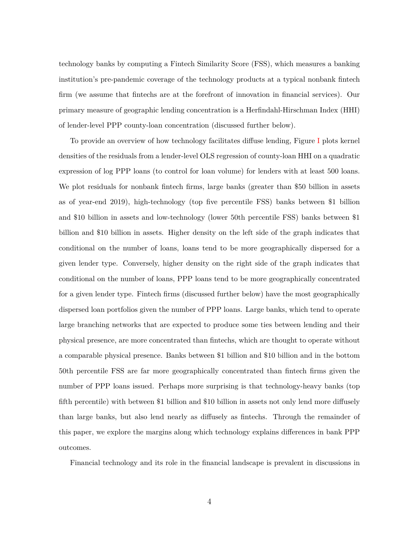technology banks by computing a Fintech Similarity Score (FSS), which measures a banking institution's pre-pandemic coverage of the technology products at a typical nonbank fintech firm (we assume that fintechs are at the forefront of innovation in financial services). Our primary measure of geographic lending concentration is a Herfindahl-Hirschman Index (HHI) of lender-level PPP county-loan concentration (discussed further below).

To provide an overview of how technology facilitates diffuse lending, Figure [I](#page-43-0) plots kernel densities of the residuals from a lender-level OLS regression of county-loan HHI on a quadratic expression of log PPP loans (to control for loan volume) for lenders with at least 500 loans. We plot residuals for nonbank fintech firms, large banks (greater than \$50 billion in assets as of year-end 2019), high-technology (top five percentile FSS) banks between \$1 billion and \$10 billion in assets and low-technology (lower 50th percentile FSS) banks between \$1 billion and \$10 billion in assets. Higher density on the left side of the graph indicates that conditional on the number of loans, loans tend to be more geographically dispersed for a given lender type. Conversely, higher density on the right side of the graph indicates that conditional on the number of loans, PPP loans tend to be more geographically concentrated for a given lender type. Fintech firms (discussed further below) have the most geographically dispersed loan portfolios given the number of PPP loans. Large banks, which tend to operate large branching networks that are expected to produce some ties between lending and their physical presence, are more concentrated than fintechs, which are thought to operate without a comparable physical presence. Banks between \$1 billion and \$10 billion and in the bottom 50th percentile FSS are far more geographically concentrated than fintech firms given the number of PPP loans issued. Perhaps more surprising is that technology-heavy banks (top fifth percentile) with between \$1 billion and \$10 billion in assets not only lend more diffusely than large banks, but also lend nearly as diffusely as fintechs. Through the remainder of this paper, we explore the margins along which technology explains differences in bank PPP outcomes.

Financial technology and its role in the financial landscape is prevalent in discussions in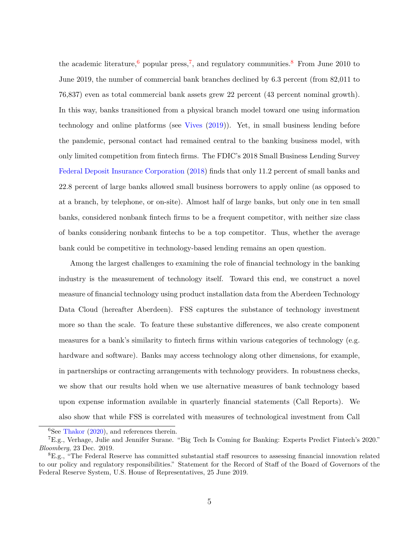the academic literature,  $6$  popular press,  $7$ , and regulatory communities.  $8$  From June 2010 to June 2019, the number of commercial bank branches declined by 6.3 percent (from 82,011 to 76,837) even as total commercial bank assets grew 22 percent (43 percent nominal growth). In this way, banks transitioned from a physical branch model toward one using information technology and online platforms (see [Vives](#page-30-0) [\(2019\)](#page-30-0)). Yet, in small business lending before the pandemic, personal contact had remained central to the banking business model, with only limited competition from fintech firms. The FDIC's 2018 Small Business Lending Survey [Federal Deposit Insurance Corporation](#page-29-1) [\(2018\)](#page-29-1) finds that only 11.2 percent of small banks and 22.8 percent of large banks allowed small business borrowers to apply online (as opposed to at a branch, by telephone, or on-site). Almost half of large banks, but only one in ten small banks, considered nonbank fintech firms to be a frequent competitor, with neither size class of banks considering nonbank fintechs to be a top competitor. Thus, whether the average bank could be competitive in technology-based lending remains an open question.

Among the largest challenges to examining the role of financial technology in the banking industry is the measurement of technology itself. Toward this end, we construct a novel measure of financial technology using product installation data from the Aberdeen Technology Data Cloud (hereafter Aberdeen). FSS captures the substance of technology investment more so than the scale. To feature these substantive differences, we also create component measures for a bank's similarity to fintech firms within various categories of technology (e.g. hardware and software). Banks may access technology along other dimensions, for example, in partnerships or contracting arrangements with technology providers. In robustness checks, we show that our results hold when we use alternative measures of bank technology based upon expense information available in quarterly financial statements (Call Reports). We also show that while FSS is correlated with measures of technological investment from Call

<span id="page-5-1"></span><span id="page-5-0"></span> ${}^{6}$ See [Thakor](#page-30-1) [\(2020\)](#page-30-1), and references therein.

<sup>7</sup>E.g., Verhage, Julie and Jennifer Surane. "Big Tech Is Coming for Banking: Experts Predict Fintech's 2020." *Bloomberg*, 23 Dec. 2019.

<span id="page-5-2"></span><sup>8</sup>E.g., "The Federal Reserve has committed substantial staff resources to assessing financial innovation related to our policy and regulatory responsibilities." Statement for the Record of Staff of the Board of Governors of the Federal Reserve System, U.S. House of Representatives, 25 June 2019.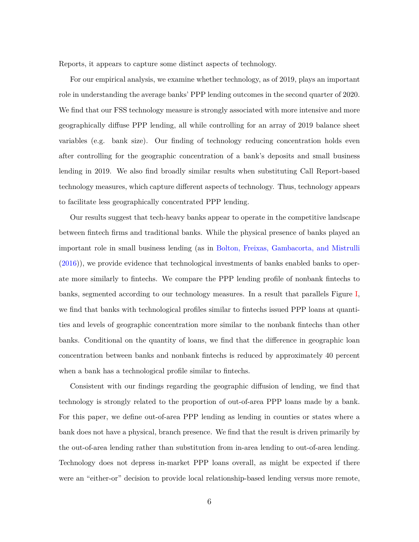Reports, it appears to capture some distinct aspects of technology.

For our empirical analysis, we examine whether technology, as of 2019, plays an important role in understanding the average banks' PPP lending outcomes in the second quarter of 2020. We find that our FSS technology measure is strongly associated with more intensive and more geographically diffuse PPP lending, all while controlling for an array of 2019 balance sheet variables (e.g. bank size). Our finding of technology reducing concentration holds even after controlling for the geographic concentration of a bank's deposits and small business lending in 2019. We also find broadly similar results when substituting Call Report-based technology measures, which capture different aspects of technology. Thus, technology appears to facilitate less geographically concentrated PPP lending.

Our results suggest that tech-heavy banks appear to operate in the competitive landscape between fintech firms and traditional banks. While the physical presence of banks played an important role in small business lending (as in [Bolton, Freixas, Gambacorta, and Mistrulli](#page-29-3) [\(2016\)](#page-29-3)), we provide evidence that technological investments of banks enabled banks to operate more similarly to fintechs. We compare the PPP lending profile of nonbank fintechs to banks, segmented according to our technology measures. In a result that parallels Figure [I,](#page-43-0) we find that banks with technological profiles similar to fintechs issued PPP loans at quantities and levels of geographic concentration more similar to the nonbank fintechs than other banks. Conditional on the quantity of loans, we find that the difference in geographic loan concentration between banks and nonbank fintechs is reduced by approximately 40 percent when a bank has a technological profile similar to fintechs.

Consistent with our findings regarding the geographic diffusion of lending, we find that technology is strongly related to the proportion of out-of-area PPP loans made by a bank. For this paper, we define out-of-area PPP lending as lending in counties or states where a bank does not have a physical, branch presence. We find that the result is driven primarily by the out-of-area lending rather than substitution from in-area lending to out-of-area lending. Technology does not depress in-market PPP loans overall, as might be expected if there were an "either-or" decision to provide local relationship-based lending versus more remote,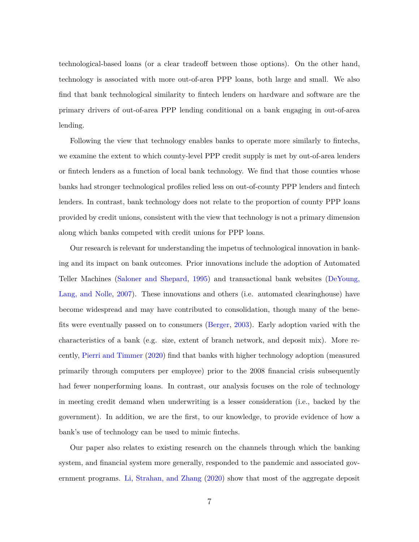technological-based loans (or a clear tradeoff between those options). On the other hand, technology is associated with more out-of-area PPP loans, both large and small. We also find that bank technological similarity to fintech lenders on hardware and software are the primary drivers of out-of-area PPP lending conditional on a bank engaging in out-of-area lending.

Following the view that technology enables banks to operate more similarly to fintechs, we examine the extent to which county-level PPP credit supply is met by out-of-area lenders or fintech lenders as a function of local bank technology. We find that those counties whose banks had stronger technological profiles relied less on out-of-county PPP lenders and fintech lenders. In contrast, bank technology does not relate to the proportion of county PPP loans provided by credit unions, consistent with the view that technology is not a primary dimension along which banks competed with credit unions for PPP loans.

Our research is relevant for understanding the impetus of technological innovation in banking and its impact on bank outcomes. Prior innovations include the adoption of Automated Teller Machines [\(Saloner and Shepard,](#page-30-2) [1995\)](#page-30-2) and transactional bank websites [\(DeYoung,](#page-29-4) [Lang, and Nolle,](#page-29-4) [2007\)](#page-29-4). These innovations and others (i.e. automated clearinghouse) have become widespread and may have contributed to consolidation, though many of the benefits were eventually passed on to consumers [\(Berger,](#page-29-5) [2003\)](#page-29-5). Early adoption varied with the characteristics of a bank (e.g. size, extent of branch network, and deposit mix). More recently, [Pierri and Timmer](#page-30-3) [\(2020\)](#page-30-3) find that banks with higher technology adoption (measured primarily through computers per employee) prior to the 2008 financial crisis subsequently had fewer nonperforming loans. In contrast, our analysis focuses on the role of technology in meeting credit demand when underwriting is a lesser consideration (i.e., backed by the government). In addition, we are the first, to our knowledge, to provide evidence of how a bank's use of technology can be used to mimic fintechs.

Our paper also relates to existing research on the channels through which the banking system, and financial system more generally, responded to the pandemic and associated government programs. [Li, Strahan, and Zhang](#page-29-6) [\(2020\)](#page-29-6) show that most of the aggregate deposit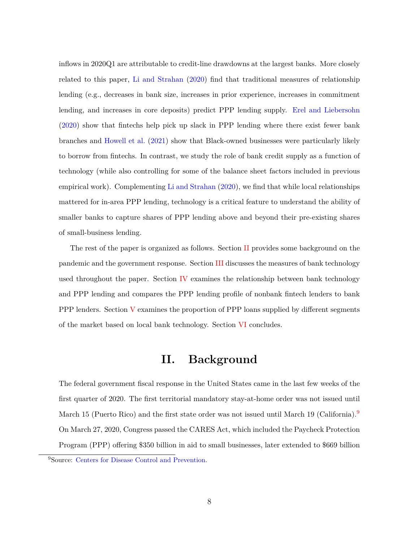inflows in 2020Q1 are attributable to credit-line drawdowns at the largest banks. More closely related to this paper, [Li and Strahan](#page-29-2) [\(2020\)](#page-29-2) find that traditional measures of relationship lending (e.g., decreases in bank size, increases in prior experience, increases in commitment lending, and increases in core deposits) predict PPP lending supply. [Erel and Liebersohn](#page-29-7) [\(2020\)](#page-29-7) show that fintechs help pick up slack in PPP lending where there exist fewer bank branches and [Howell et al.](#page-29-8) [\(2021\)](#page-29-8) show that Black-owned businesses were particularly likely to borrow from fintechs. In contrast, we study the role of bank credit supply as a function of technology (while also controlling for some of the balance sheet factors included in previous empirical work). Complementing [Li and Strahan](#page-29-2) [\(2020\)](#page-29-2), we find that while local relationships mattered for in-area PPP lending, technology is a critical feature to understand the ability of smaller banks to capture shares of PPP lending above and beyond their pre-existing shares of small-business lending.

The rest of the paper is organized as follows. Section [II](#page-8-0) provides some background on the pandemic and the government response. Section [III](#page-9-0) discusses the measures of bank technology used throughout the paper. Section  $\overline{IV}$  $\overline{IV}$  $\overline{IV}$  examines the relationship between bank technology and PPP lending and compares the PPP lending profile of nonbank fintech lenders to bank PPP lenders. Section  $V$  examines the proportion of PPP loans supplied by different segments of the market based on local bank technology. Section [VI](#page-26-0) concludes.

### **II. Background**

<span id="page-8-0"></span>The federal government fiscal response in the United States came in the last few weeks of the first quarter of 2020. The first territorial mandatory stay-at-home order was not issued until March 15 (Puerto Rico) and the first state order was not issued until March 1[9](#page-8-1) (California).<sup>9</sup> On March 27, 2020, Congress passed the CARES Act, which included the Paycheck Protection Program (PPP) offering \$350 billion in aid to small businesses, later extended to \$669 billion

<span id="page-8-1"></span><sup>9</sup>Source: [Centers for Disease Control and Prevention.](https://www.cdc.gov/mmwr/volumes/69/wr/mm6935a2.htm)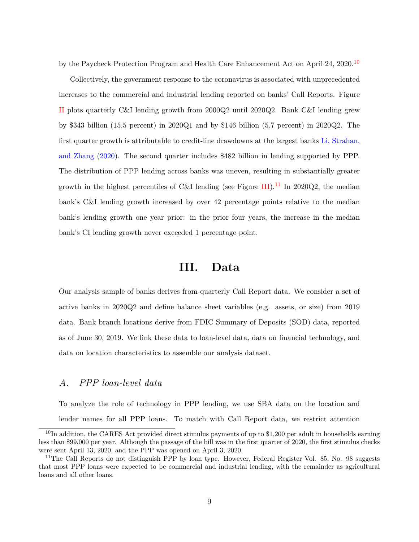by the Paycheck Protection Program and Health Care Enhancement Act on April 24, 2020.<sup>[10](#page-9-1)</sup>

Collectively, the government response to the coronavirus is associated with unprecedented increases to the commercial and industrial lending reported on banks' Call Reports. Figure [II](#page-44-0) plots quarterly C&I lending growth from 2000Q2 until 2020Q2. Bank C&I lending grew by \$343 billion (15.5 percent) in 2020Q1 and by \$146 billion (5.7 percent) in 2020Q2. The first quarter growth is attributable to credit-line drawdowns at the largest banks [Li, Strahan,](#page-29-6) [and Zhang](#page-29-6) [\(2020\)](#page-29-6). The second quarter includes \$482 billion in lending supported by PPP. The distribution of PPP lending across banks was uneven, resulting in substantially greater growth in the highest percentiles of C&I lending (see Figure [III\)](#page-45-0).<sup>[11](#page-9-2)</sup> In 2020Q2, the median bank's C&I lending growth increased by over 42 percentage points relative to the median bank's lending growth one year prior: in the prior four years, the increase in the median bank's CI lending growth never exceeded 1 percentage point.

### **III. Data**

<span id="page-9-0"></span>Our analysis sample of banks derives from quarterly Call Report data. We consider a set of active banks in 2020Q2 and define balance sheet variables (e.g. assets, or size) from 2019 data. Bank branch locations derive from FDIC Summary of Deposits (SOD) data, reported as of June 30, 2019. We link these data to loan-level data, data on financial technology, and data on location characteristics to assemble our analysis dataset.

#### *A. PPP loan-level data*

To analyze the role of technology in PPP lending, we use SBA data on the location and lender names for all PPP loans. To match with Call Report data, we restrict attention

<span id="page-9-1"></span> $10$ In addition, the CARES Act provided direct stimulus payments of up to \$1,200 per adult in households earning less than \$99,000 per year. Although the passage of the bill was in the first quarter of 2020, the first stimulus checks were sent April 13, 2020, and the PPP was opened on April 3, 2020.

<span id="page-9-2"></span><sup>&</sup>lt;sup>11</sup>The Call Reports do not distinguish PPP by loan type. However, Federal Register Vol. 85, No. 98 suggests that most PPP loans were expected to be commercial and industrial lending, with the remainder as agricultural loans and all other loans.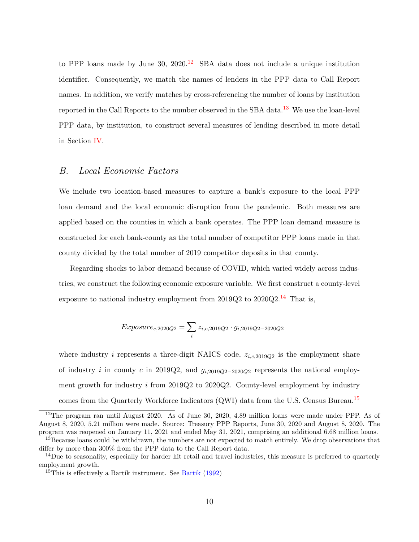to PPP loans made by June 30,  $2020<sup>12</sup>$  $2020<sup>12</sup>$  $2020<sup>12</sup>$  SBA data does not include a unique institution identifier. Consequently, we match the names of lenders in the PPP data to Call Report names. In addition, we verify matches by cross-referencing the number of loans by institution reported in the Call Reports to the number observed in the SBA data.<sup>[13](#page-10-1)</sup> We use the loan-level PPP data, by institution, to construct several measures of lending described in more detail in Section [IV.](#page-14-0)

#### *B. Local Economic Factors*

We include two location-based measures to capture a bank's exposure to the local PPP loan demand and the local economic disruption from the pandemic. Both measures are applied based on the counties in which a bank operates. The PPP loan demand measure is constructed for each bank-county as the total number of competitor PPP loans made in that county divided by the total number of 2019 competitor deposits in that county.

Regarding shocks to labor demand because of COVID, which varied widely across industries, we construct the following economic exposure variable. We first construct a county-level exposure to national industry employment from  $2019Q2$  to  $2020Q2$ .<sup>[14](#page-10-2)</sup> That is,

$$
Exposure_{c,2020Q2} = \sum_{i} z_{i,c,2019Q2} \cdot g_{i,2019Q2 - 2020Q2}
$$

where industry *i* represents a three-digit NAICS code, *zi,c,*2019*Q*<sup>2</sup> is the employment share of industry *i* in county *c* in 2019Q2, and *gi,*2019*Q*2−2020*Q*<sup>2</sup> represents the national employment growth for industry *i* from 2019Q2 to 2020Q2. County-level employment by industry comes from the Quarterly Workforce Indicators (QWI) data from the U.S. Census Bureau.<sup>[15](#page-10-3)</sup>

<span id="page-10-0"></span><sup>&</sup>lt;sup>12</sup>The program ran until August 2020. As of June 30, 2020, 4.89 million loans were made under PPP. As of August 8, 2020, 5.21 million were made. Source: Treasury PPP Reports, June 30, 2020 and August 8, 2020. The program was reopened on January 11, 2021 and ended May 31, 2021, comprising an additional 6.68 million loans.

<span id="page-10-1"></span><sup>&</sup>lt;sup>13</sup>Because loans could be withdrawn, the numbers are not expected to match entirely. We drop observations that differ by more than 300% from the PPP data to the Call Report data.

<span id="page-10-2"></span> $14$ Due to seasonality, especially for harder hit retail and travel industries, this measure is preferred to quarterly employment growth.

<span id="page-10-3"></span><sup>&</sup>lt;sup>15</sup>This is effectively a [Bartik](#page-29-9) instrument. See Bartik  $(1992)$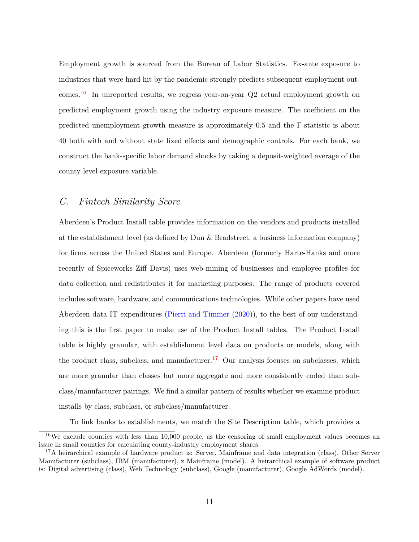Employment growth is sourced from the Bureau of Labor Statistics. Ex-ante exposure to industries that were hard hit by the pandemic strongly predicts subsequent employment out-comes.<sup>[16](#page-11-0)</sup> In unreported results, we regress year-on-year  $Q2$  actual employment growth on predicted employment growth using the industry exposure measure. The coefficient on the predicted unemployment growth measure is approximately 0.5 and the F-statistic is about 40 both with and without state fixed effects and demographic controls. For each bank, we construct the bank-specific labor demand shocks by taking a deposit-weighted average of the county level exposure variable.

#### *C. Fintech Similarity Score*

Aberdeen's Product Install table provides information on the vendors and products installed at the establishment level (as defined by Dun & Bradstreet, a business information company) for firms across the United States and Europe. Aberdeen (formerly Harte-Hanks and more recently of Spiceworks Ziff Davis) uses web-mining of businesses and employee profiles for data collection and redistributes it for marketing purposes. The range of products covered includes software, hardware, and communications technologies. While other papers have used Aberdeen data IT expenditures [\(Pierri and Timmer](#page-30-3) [\(2020\)](#page-30-3)), to the best of our understanding this is the first paper to make use of the Product Install tables. The Product Install table is highly granular, with establishment level data on products or models, along with the product class, subclass, and manufacturer.<sup>[17](#page-11-1)</sup> Our analysis focuses on subclasses, which are more granular than classes but more aggregate and more consistently coded than subclass/manufacturer pairings. We find a similar pattern of results whether we examine product installs by class, subclass, or subclass/manufacturer.

To link banks to establishments, we match the Site Description table, which provides a

<span id="page-11-0"></span> $16\text{We exclude counties with less than }10,000$  people, as the censoring of small employment values becomes an issue in small counties for calculating county-industry employment shares.

<span id="page-11-1"></span><sup>&</sup>lt;sup>17</sup>A heirarchical example of hardware product is: Server, Mainframe and data integration (class), Other Server Manufacturer (subclass), IBM (manufacturer), z Mainframe (model). A heirarchical example of software product is: Digital advertising (class), Web Technology (subclass), Google (manufacturer), Google AdWords (model).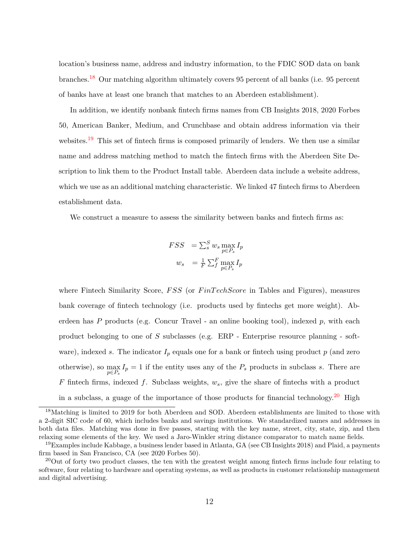location's business name, address and industry information, to the FDIC SOD data on bank branches.[18](#page-12-0) Our matching algorithm ultimately covers 95 percent of all banks (i.e. 95 percent of banks have at least one branch that matches to an Aberdeen establishment).

In addition, we identify nonbank fintech firms names from CB Insights 2018, 2020 Forbes 50, American Banker, Medium, and Crunchbase and obtain address information via their websites.<sup>[19](#page-12-1)</sup> This set of fintech firms is composed primarily of lenders. We then use a similar name and address matching method to match the fintech firms with the Aberdeen Site Description to link them to the Product Install table. Aberdeen data include a website address, which we use as an additional matching characteristic. We linked 47 fintech firms to Aberdeen establishment data.

We construct a measure to assess the similarity between banks and fintech firms as:

$$
FSS = \sum_{s}^{S} w_{s} \max_{p \in P_{s}} I_{p}
$$

$$
w_{s} = \frac{1}{F} \sum_{f}^{F} \max_{p \in P_{s}} I_{p}
$$

where Fintech Similarity Score, *F SS* (or *F inT echScore* in Tables and Figures), measures bank coverage of fintech technology (i.e. products used by fintechs get more weight). Aberdeen has *P* products (e.g. Concur Travel - an online booking tool), indexed *p*, with each product belonging to one of *S* subclasses (e.g. ERP - Enterprise resource planning - software), indexed *s*. The indicator  $I_p$  equals one for a bank or finite th using product  $p$  (and zero otherwise), so  $\max_{p \in P_s} I_p = 1$  if the entity uses any of the  $P_s$  products in subclass *s*. There are *F* fintech firms, indexed *f*. Subclass weights, *ws*, give the share of fintechs with a product in a subclass, a guage of the importance of those products for financial technology.[20](#page-12-2) High

<span id="page-12-0"></span><sup>&</sup>lt;sup>18</sup>Matching is limited to 2019 for both Aberdeen and SOD. Aberdeen establishments are limited to those with a 2-digit SIC code of 60, which includes banks and savings institutions. We standardized names and addresses in both data files. Matching was done in five passes, starting with the key name, street, city, state, zip, and then relaxing some elements of the key. We used a Jaro-Winkler string distance comparator to match name fields.

<span id="page-12-1"></span><sup>&</sup>lt;sup>19</sup>Examples include Kabbage, a business lender based in Atlanta, GA (see CB Insights 2018) and Plaid, a payments firm based in San Francisco, CA (see 2020 Forbes 50).

<span id="page-12-2"></span><sup>&</sup>lt;sup>20</sup>Out of forty two product classes, the ten with the greatest weight among fintech firms include four relating to software, four relating to hardware and operating systems, as well as products in customer relationship management and digital advertising.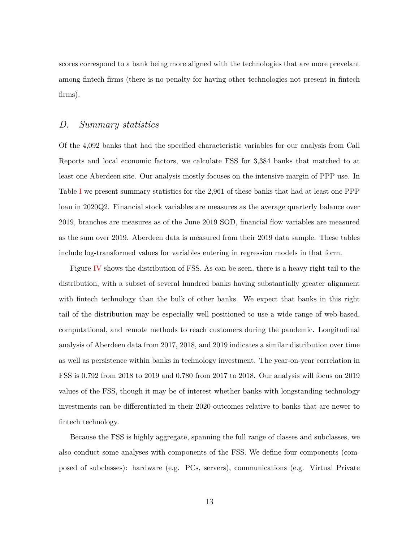scores correspond to a bank being more aligned with the technologies that are more prevelant among fintech firms (there is no penalty for having other technologies not present in fintech firms).

#### *D. Summary statistics*

Of the 4,092 banks that had the specified characteristic variables for our analysis from Call Reports and local economic factors, we calculate FSS for 3,384 banks that matched to at least one Aberdeen site. Our analysis mostly focuses on the intensive margin of PPP use. In Table [I](#page-31-0) we present summary statistics for the 2,961 of these banks that had at least one PPP loan in 2020Q2. Financial stock variables are measures as the average quarterly balance over 2019, branches are measures as of the June 2019 SOD, financial flow variables are measured as the sum over 2019. Aberdeen data is measured from their 2019 data sample. These tables include log-transformed values for variables entering in regression models in that form.

Figure [IV](#page-46-0) shows the distribution of FSS. As can be seen, there is a heavy right tail to the distribution, with a subset of several hundred banks having substantially greater alignment with fintech technology than the bulk of other banks. We expect that banks in this right tail of the distribution may be especially well positioned to use a wide range of web-based, computational, and remote methods to reach customers during the pandemic. Longitudinal analysis of Aberdeen data from 2017, 2018, and 2019 indicates a similar distribution over time as well as persistence within banks in technology investment. The year-on-year correlation in FSS is 0.792 from 2018 to 2019 and 0.780 from 2017 to 2018. Our analysis will focus on 2019 values of the FSS, though it may be of interest whether banks with longstanding technology investments can be differentiated in their 2020 outcomes relative to banks that are newer to fintech technology.

Because the FSS is highly aggregate, spanning the full range of classes and subclasses, we also conduct some analyses with components of the FSS. We define four components (composed of subclasses): hardware (e.g. PCs, servers), communications (e.g. Virtual Private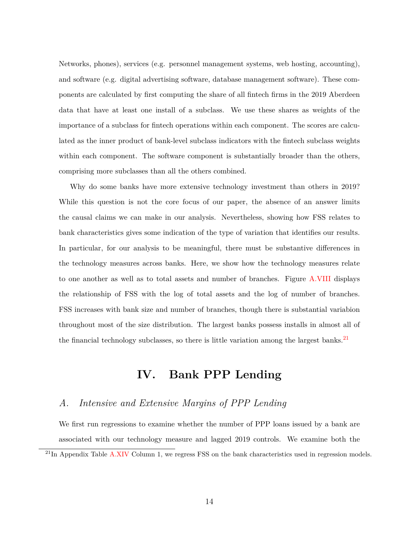Networks, phones), services (e.g. personnel management systems, web hosting, accounting), and software (e.g. digital advertising software, database management software). These components are calculated by first computing the share of all fintech firms in the 2019 Aberdeen data that have at least one install of a subclass. We use these shares as weights of the importance of a subclass for fintech operations within each component. The scores are calculated as the inner product of bank-level subclass indicators with the fintech subclass weights within each component. The software component is substantially broader than the others, comprising more subclasses than all the others combined.

Why do some banks have more extensive technology investment than others in 2019? While this question is not the core focus of our paper, the absence of an answer limits the causal claims we can make in our analysis. Nevertheless, showing how FSS relates to bank characteristics gives some indication of the type of variation that identifies our results. In particular, for our analysis to be meaningful, there must be substantive differences in the technology measures across banks. Here, we show how the technology measures relate to one another as well as to total assets and number of branches. Figure [A.VIII](#page-52-0) displays the relationship of FSS with the log of total assets and the log of number of branches. FSS increases with bank size and number of branches, though there is substantial variabion throughout most of the size distribution. The largest banks possess installs in almost all of the financial technology subclasses, so there is little variation among the largest banks.<sup>[21](#page-14-1)</sup>

### **IV. Bank PPP Lending**

#### <span id="page-14-0"></span>*A. Intensive and Extensive Margins of PPP Lending*

We first run regressions to examine whether the number of PPP loans issued by a bank are associated with our technology measure and lagged 2019 controls. We examine both the

<span id="page-14-1"></span> $^{21}$ In Appendix Table [A.XIV](#page-51-0) Column 1, we regress FSS on the bank characteristics used in regression models.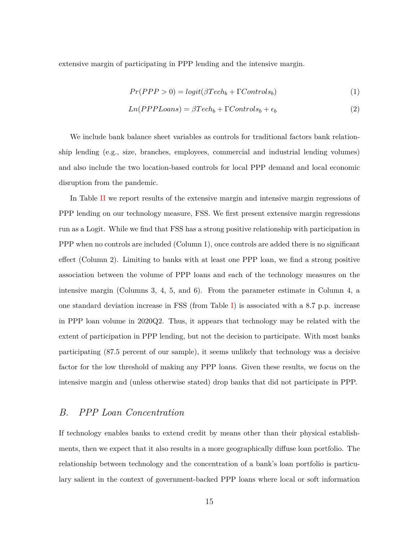extensive margin of participating in PPP lending and the intensive margin.

<span id="page-15-0"></span>
$$
Pr(PPP > 0) = logit(\beta Tech_b + \Gamma Controls_b)
$$
\n<sup>(1)</sup>

$$
Ln(PPPLoans) = \beta Tech_b + \Gamma Controls_b + \epsilon_b \tag{2}
$$

We include bank balance sheet variables as controls for traditional factors bank relationship lending (e.g., size, branches, employees, commercial and industrial lending volumes) and also include the two location-based controls for local PPP demand and local economic disruption from the pandemic.

In Table [II](#page-32-0) we report results of the extensive margin and intensive margin regressions of PPP lending on our technology measure, FSS. We first present extensive margin regressions run as a Logit. While we find that FSS has a strong positive relationship with participation in PPP when no controls are included (Column 1), once controls are added there is no significant effect (Column 2). Limiting to banks with at least one PPP loan, we find a strong positive association between the volume of PPP loans and each of the technology measures on the intensive margin (Columns 3, 4, 5, and 6). From the parameter estimate in Column 4, a one standard deviation increase in FSS (from Table [I\)](#page-31-0) is associated with a 8.7 p.p. increase in PPP loan volume in 2020Q2. Thus, it appears that technology may be related with the extent of participation in PPP lending, but not the decision to participate. With most banks participating (87.5 percent of our sample), it seems unlikely that technology was a decisive factor for the low threshold of making any PPP loans. Given these results, we focus on the intensive margin and (unless otherwise stated) drop banks that did not participate in PPP.

#### *B. PPP Loan Concentration*

If technology enables banks to extend credit by means other than their physical establishments, then we expect that it also results in a more geographically diffuse loan portfolio. The relationship between technology and the concentration of a bank's loan portfolio is particulary salient in the context of government-backed PPP loans where local or soft information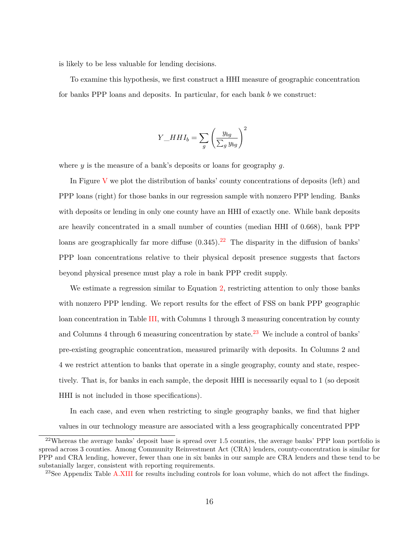is likely to be less valuable for lending decisions.

To examine this hypothesis, we first construct a HHI measure of geographic concentration for banks PPP loans and deposits. In particular, for each bank *b* we construct:

$$
Y \_H H I_b = \sum_g \left(\frac{y_{bg}}{\sum_g y_{bg}}\right)^2
$$

where *y* is the measure of a bank's deposits or loans for geography *g*.

In Figure [V](#page-47-0) we plot the distribution of banks' county concentrations of deposits (left) and PPP loans (right) for those banks in our regression sample with nonzero PPP lending. Banks with deposits or lending in only one county have an HHI of exactly one. While bank deposits are heavily concentrated in a small number of counties (median HHI of 0.668), bank PPP loans are geographically far more diffuse  $(0.345)$ .<sup>[22](#page-16-0)</sup> The disparity in the diffusion of banks' PPP loan concentrations relative to their physical deposit presence suggests that factors beyond physical presence must play a role in bank PPP credit supply.

We estimate a regression similar to Equation [2,](#page-15-0) restricting attention to only those banks with nonzero PPP lending. We report results for the effect of FSS on bank PPP geographic loan concentration in Table [III,](#page-33-0) with Columns 1 through 3 measuring concentration by county and Columns 4 through 6 measuring concentration by state.<sup>[23](#page-16-1)</sup> We include a control of banks' pre-existing geographic concentration, measured primarily with deposits. In Columns 2 and 4 we restrict attention to banks that operate in a single geography, county and state, respectively. That is, for banks in each sample, the deposit HHI is necessarily equal to 1 (so deposit HHI is not included in those specifications).

In each case, and even when restricting to single geography banks, we find that higher values in our technology measure are associated with a less geographically concentrated PPP

<span id="page-16-1"></span><sup>23</sup>See Appendix Table [A.XIII](#page-50-0) for results including controls for loan volume, which do not affect the findings.

<span id="page-16-0"></span><sup>&</sup>lt;sup>22</sup>Whereas the average banks' deposit base is spread over 1.5 counties, the average banks' PPP loan portfolio is spread across 3 counties. Among Community Reinvestment Act (CRA) lenders, county-concentration is similar for PPP and CRA lending, however, fewer than one in six banks in our sample are CRA lenders and these tend to be substanially larger, consistent with reporting requirements.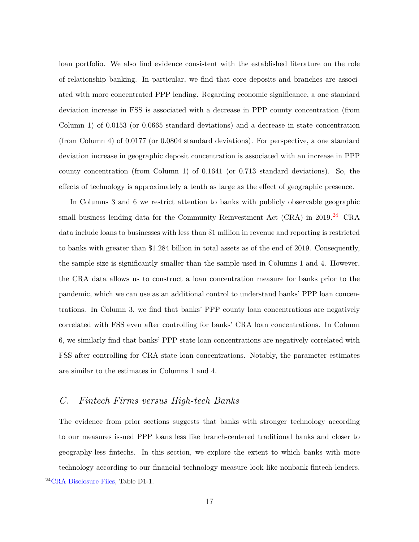loan portfolio. We also find evidence consistent with the established literature on the role of relationship banking. In particular, we find that core deposits and branches are associated with more concentrated PPP lending. Regarding economic significance, a one standard deviation increase in FSS is associated with a decrease in PPP county concentration (from Column 1) of 0.0153 (or 0.0665 standard deviations) and a decrease in state concentration (from Column 4) of 0.0177 (or 0.0804 standard deviations). For perspective, a one standard deviation increase in geographic deposit concentration is associated with an increase in PPP county concentration (from Column 1) of 0.1641 (or 0.713 standard deviations). So, the effects of technology is approximately a tenth as large as the effect of geographic presence.

In Columns 3 and 6 we restrict attention to banks with publicly observable geographic small business lending data for the Community Reinvestment Act  $(CRA)$  in 2019.<sup>[24](#page-17-0)</sup> CRA data include loans to businesses with less than \$1 million in revenue and reporting is restricted to banks with greater than \$1.284 billion in total assets as of the end of 2019. Consequently, the sample size is significantly smaller than the sample used in Columns 1 and 4. However, the CRA data allows us to construct a loan concentration measure for banks prior to the pandemic, which we can use as an additional control to understand banks' PPP loan concentrations. In Column 3, we find that banks' PPP county loan concentrations are negatively correlated with FSS even after controlling for banks' CRA loan concentrations. In Column 6, we similarly find that banks' PPP state loan concentrations are negatively correlated with FSS after controlling for CRA state loan concentrations. Notably, the parameter estimates are similar to the estimates in Columns 1 and 4.

#### <span id="page-17-1"></span>*C. Fintech Firms versus High-tech Banks*

The evidence from prior sections suggests that banks with stronger technology according to our measures issued PPP loans less like branch-centered traditional banks and closer to geography-less fintechs. In this section, we explore the extent to which banks with more technology according to our financial technology measure look like nonbank fintech lenders.

<span id="page-17-0"></span><sup>24</sup>[CRA Disclosure Files,](http://ffiec.gov/cra/craflatfiles.htm) Table D1-1.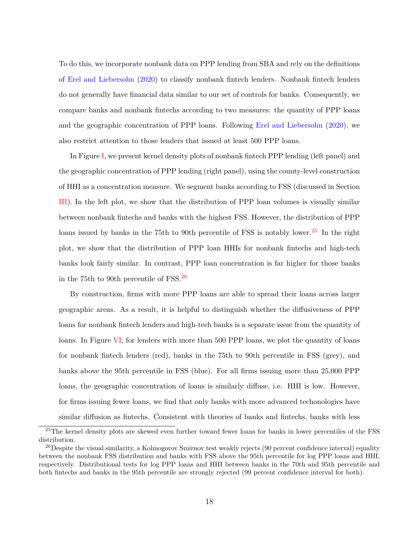To do this, we incorporate nonbank data on PPP lending from SBA and rely on the definitions of [Erel and Liebersohn](#page-29-7) [\(2020\)](#page-29-7) to classify nonbank fintech lenders. Nonbank fintech lenders do not generally have financial data similar to our set of controls for banks. Consequently, we compare banks and nonbank fintechs according to two measures: the quantity of PPP loans and the geographic concentration of PPP loans. Following [Erel and Liebersohn](#page-29-7) [\(2020\)](#page-29-7), we also restrict attention to those lenders that issued at least 500 PPP loans.

In Figure [I,](#page-43-0) we present kernel density plots of nonbank fintech PPP lending (left panel) and the geographic concentration of PPP lending (right panel), using the county-level construction of HHI as a concentration measure. We segment banks according to FSS (discussed in Section [III\)](#page-9-0). In the left plot, we show that the distribution of PPP loan volumes is visually similar between nonbank fintechs and banks with the highest FSS. However, the distribution of PPP loans issued by banks in the 75th to 90th percentile of FSS is notably lower.<sup>[25](#page-18-0)</sup> In the right plot, we show that the distribution of PPP loan HHIs for nonbank fintechs and high-tech banks look fairly similar. In contrast, PPP loan concentration is far higher for those banks in the 75th to 90th percentile of FSS.[26](#page-18-1)

By construction, firms with more PPP loans are able to spread their loans across larger geographic areas. As a result, it is helpful to distinguish whether the diffusiveness of PPP loans for nonbank fintech lenders and high-tech banks is a separate issue from the quantity of loans. In Figure [VI,](#page-48-0) for lenders with more than 500 PPP loans, we plot the quantity of loans for nonbank fintech lenders (red), banks in the 75th to 90th percentile in FSS (grey), and banks above the 95th percentile in FSS (blue). For all firms issuing more than 25,000 PPP loans, the geographic concentration of loans is similarly diffuse, i.e. HHI is low. However, for firms issuing fewer loans, we find that only banks with more advanced techonologies have similar diffusion as fintechs. Consistent with theories of banks and fintechs, banks with less

<span id="page-18-0"></span><sup>&</sup>lt;sup>25</sup>The kernel density plots are skewed even further toward fewer loans for banks in lower percentiles of the FSS distribution.

<span id="page-18-1"></span><sup>&</sup>lt;sup>26</sup>Despite the visual similarity, a Kolmogorov Smirnov test weakly rejects (90 percent confidence interval) equality between the nonbank FSS distribution and banks with FSS above the 95th percentile for log PPP loans and HHI, respectively. Distributional tests for log PPP loans and HHI between banks in the 70th and 95th percentile and both fintechs and banks in the 95th percentile are strongly rejected (99 percent confidence interval for both).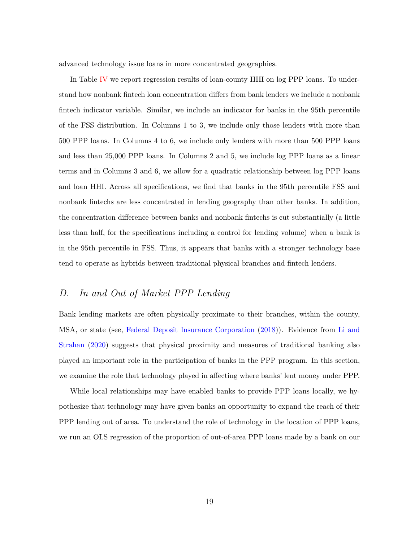advanced technology issue loans in more concentrated geographies.

In Table [IV](#page-34-0) we report regression results of loan-county HHI on log PPP loans. To understand how nonbank fintech loan concentration differs from bank lenders we include a nonbank fintech indicator variable. Similar, we include an indicator for banks in the 95th percentile of the FSS distribution. In Columns 1 to 3, we include only those lenders with more than 500 PPP loans. In Columns 4 to 6, we include only lenders with more than 500 PPP loans and less than 25,000 PPP loans. In Columns 2 and 5, we include log PPP loans as a linear terms and in Columns 3 and 6, we allow for a quadratic relationship between log PPP loans and loan HHI. Across all specifications, we find that banks in the 95th percentile FSS and nonbank fintechs are less concentrated in lending geography than other banks. In addition, the concentration difference between banks and nonbank fintechs is cut substantially (a little less than half, for the specifications including a control for lending volume) when a bank is in the 95th percentile in FSS. Thus, it appears that banks with a stronger technology base tend to operate as hybrids between traditional physical branches and fintech lenders.

#### *D. In and Out of Market PPP Lending*

Bank lending markets are often physically proximate to their branches, within the county, MSA, or state (see, [Federal Deposit Insurance Corporation](#page-29-1) [\(2018\)](#page-29-1)). Evidence from [Li and](#page-29-2) [Strahan](#page-29-2) [\(2020\)](#page-29-2) suggests that physical proximity and measures of traditional banking also played an important role in the participation of banks in the PPP program. In this section, we examine the role that technology played in affecting where banks' lent money under PPP.

While local relationships may have enabled banks to provide PPP loans locally, we hypothesize that technology may have given banks an opportunity to expand the reach of their PPP lending out of area. To understand the role of technology in the location of PPP loans, we run an OLS regression of the proportion of out-of-area PPP loans made by a bank on our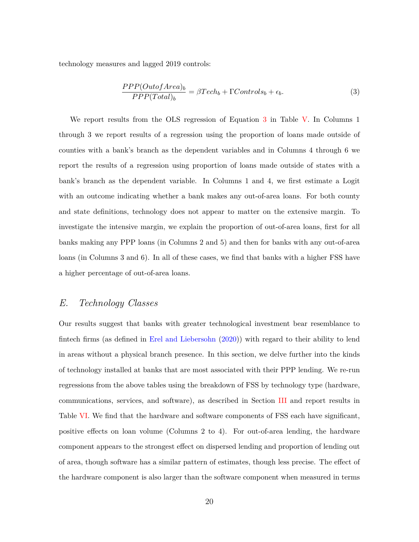technology measures and lagged 2019 controls:

<span id="page-20-0"></span>
$$
\frac{PPP(OutofArea)_b}{PPP(Total)_b} = \beta Tech_b + \Gamma Controls_b + \epsilon_b. \tag{3}
$$

We report results from the OLS regression of Equation [3](#page-20-0) in Table [V.](#page-35-0) In Columns 1 through 3 we report results of a regression using the proportion of loans made outside of counties with a bank's branch as the dependent variables and in Columns 4 through 6 we report the results of a regression using proportion of loans made outside of states with a bank's branch as the dependent variable. In Columns 1 and 4, we first estimate a Logit with an outcome indicating whether a bank makes any out-of-area loans. For both county and state definitions, technology does not appear to matter on the extensive margin. To investigate the intensive margin, we explain the proportion of out-of-area loans, first for all banks making any PPP loans (in Columns 2 and 5) and then for banks with any out-of-area loans (in Columns 3 and 6). In all of these cases, we find that banks with a higher FSS have a higher percentage of out-of-area loans.

#### *E. Technology Classes*

Our results suggest that banks with greater technological investment bear resemblance to fintech firms (as defined in [Erel and Liebersohn](#page-29-7) [\(2020\)](#page-29-7)) with regard to their ability to lend in areas without a physical branch presence. In this section, we delve further into the kinds of technology installed at banks that are most associated with their PPP lending. We re-run regressions from the above tables using the breakdown of FSS by technology type (hardware, communications, services, and software), as described in Section [III](#page-9-0) and report results in Table [VI.](#page-36-0) We find that the hardware and software components of FSS each have significant, positive effects on loan volume (Columns 2 to 4). For out-of-area lending, the hardware component appears to the strongest effect on dispersed lending and proportion of lending out of area, though software has a similar pattern of estimates, though less precise. The effect of the hardware component is also larger than the software component when measured in terms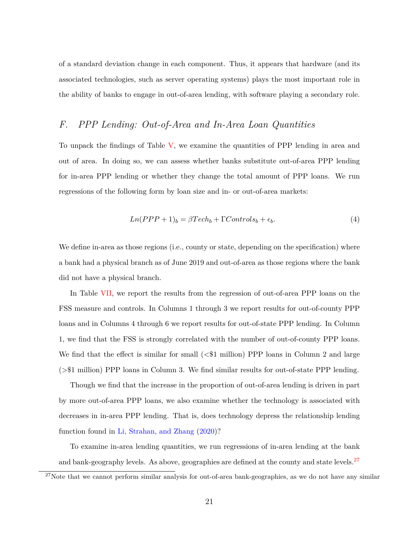of a standard deviation change in each component. Thus, it appears that hardware (and its associated technologies, such as server operating systems) plays the most important role in the ability of banks to engage in out-of-area lending, with software playing a secondary role.

#### <span id="page-21-1"></span>*F. PPP Lending: Out-of-Area and In-Area Loan Quantities*

To unpack the findings of Table [V,](#page-35-0) we examine the quantities of PPP lending in area and out of area. In doing so, we can assess whether banks substitute out-of-area PPP lending for in-area PPP lending or whether they change the total amount of PPP loans. We run regressions of the following form by loan size and in- or out-of-area markets:

$$
Ln(PPP + 1)b = \beta Techb + \Gamma Controlsb + \epsilonb.
$$
\n(4)

We define in-area as those regions (i.e., county or state, depending on the specification) where a bank had a physical branch as of June 2019 and out-of-area as those regions where the bank did not have a physical branch.

In Table [VII,](#page-37-0) we report the results from the regression of out-of-area PPP loans on the FSS measure and controls. In Columns 1 through 3 we report results for out-of-county PPP loans and in Columns 4 through 6 we report results for out-of-state PPP lending. In Column 1, we find that the FSS is strongly correlated with the number of out-of-county PPP loans. We find that the effect is similar for small (*<*\$1 million) PPP loans in Column 2 and large (*>*\$1 million) PPP loans in Column 3. We find similar results for out-of-state PPP lending.

Though we find that the increase in the proportion of out-of-area lending is driven in part by more out-of-area PPP loans, we also examine whether the technology is associated with decreases in in-area PPP lending. That is, does technology depress the relationship lending function found in [Li, Strahan, and Zhang](#page-29-6) [\(2020\)](#page-29-6)?

To examine in-area lending quantities, we run regressions of in-area lending at the bank and bank-geography levels. As above, geographies are defined at the county and state levels.<sup>[27](#page-21-0)</sup>

<span id="page-21-0"></span><sup>&</sup>lt;sup>27</sup>Note that we cannot perform similar analysis for out-of-area bank-geographies, as we do not have any similar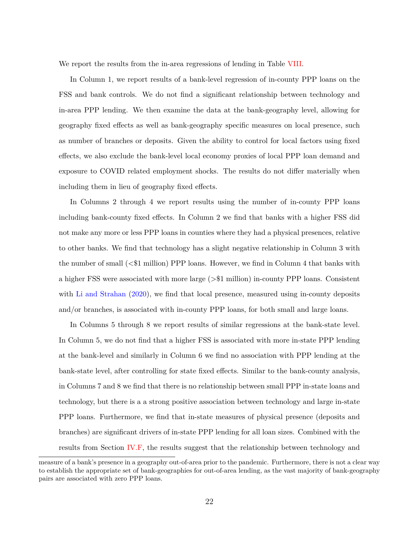We report the results from the in-area regressions of lending in Table [VIII.](#page-38-0)

In Column 1, we report results of a bank-level regression of in-county PPP loans on the FSS and bank controls. We do not find a significant relationship between technology and in-area PPP lending. We then examine the data at the bank-geography level, allowing for geography fixed effects as well as bank-geography specific measures on local presence, such as number of branches or deposits. Given the ability to control for local factors using fixed effects, we also exclude the bank-level local economy proxies of local PPP loan demand and exposure to COVID related employment shocks. The results do not differ materially when including them in lieu of geography fixed effects.

In Columns 2 through 4 we report results using the number of in-county PPP loans including bank-county fixed effects. In Column 2 we find that banks with a higher FSS did not make any more or less PPP loans in counties where they had a physical presences, relative to other banks. We find that technology has a slight negative relationship in Column 3 with the number of small (*<*\$1 million) PPP loans. However, we find in Column 4 that banks with a higher FSS were associated with more large (*>*\$1 million) in-county PPP loans. Consistent with [Li and Strahan](#page-29-2) [\(2020\)](#page-29-2), we find that local presence, measured using in-county deposits and/or branches, is associated with in-county PPP loans, for both small and large loans.

In Columns 5 through 8 we report results of similar regressions at the bank-state level. In Column 5, we do not find that a higher FSS is associated with more in-state PPP lending at the bank-level and similarly in Column 6 we find no association with PPP lending at the bank-state level, after controlling for state fixed effects. Similar to the bank-county analysis, in Columns 7 and 8 we find that there is no relationship between small PPP in-state loans and technology, but there is a a strong positive association between technology and large in-state PPP loans. Furthermore, we find that in-state measures of physical presence (deposits and branches) are significant drivers of in-state PPP lending for all loan sizes. Combined with the results from Section [IV.F,](#page-21-1) the results suggest that the relationship between technology and

measure of a bank's presence in a geography out-of-area prior to the pandemic. Furthermore, there is not a clear way to establish the appropriate set of bank-geographies for out-of-area lending, as the vast majority of bank-geography pairs are associated with zero PPP loans.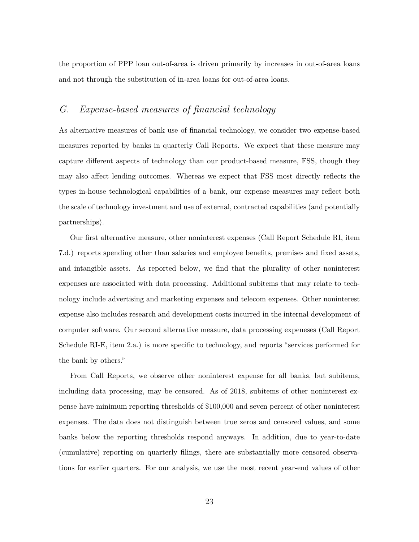the proportion of PPP loan out-of-area is driven primarily by increases in out-of-area loans and not through the substitution of in-area loans for out-of-area loans.

### *G. Expense-based measures of financial technology*

As alternative measures of bank use of financial technology, we consider two expense-based measures reported by banks in quarterly Call Reports. We expect that these measure may capture different aspects of technology than our product-based measure, FSS, though they may also affect lending outcomes. Whereas we expect that FSS most directly reflects the types in-house technological capabilities of a bank, our expense measures may reflect both the scale of technology investment and use of external, contracted capabilities (and potentially partnerships).

Our first alternative measure, other noninterest expenses (Call Report Schedule RI, item 7.d.) reports spending other than salaries and employee benefits, premises and fixed assets, and intangible assets. As reported below, we find that the plurality of other noninterest expenses are associated with data processing. Additional subitems that may relate to technology include advertising and marketing expenses and telecom expenses. Other noninterest expense also includes research and development costs incurred in the internal development of computer software. Our second alternative measure, data processing expeneses (Call Report Schedule RI-E, item 2.a.) is more specific to technology, and reports "services performed for the bank by others."

From Call Reports, we observe other noninterest expense for all banks, but subitems, including data processing, may be censored. As of 2018, subitems of other noninterest expense have minimum reporting thresholds of \$100,000 and seven percent of other noninterest expenses. The data does not distinguish between true zeros and censored values, and some banks below the reporting thresholds respond anyways. In addition, due to year-to-date (cumulative) reporting on quarterly filings, there are substantially more censored observations for earlier quarters. For our analysis, we use the most recent year-end values of other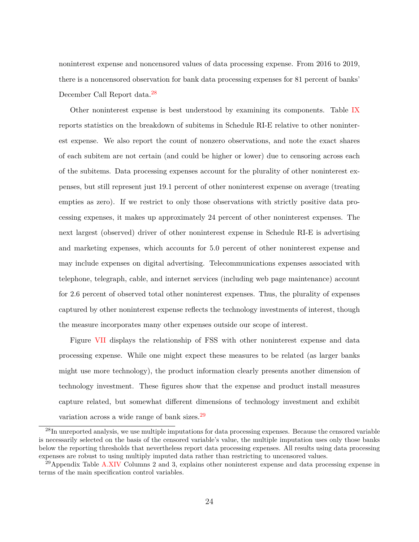noninterest expense and noncensored values of data processing expense. From 2016 to 2019, there is a noncensored observation for bank data processing expenses for 81 percent of banks' December Call Report data.[28](#page-24-0)

Other noninterest expense is best understood by examining its components. Table [IX](#page-39-0) reports statistics on the breakdown of subitems in Schedule RI-E relative to other noninterest expense. We also report the count of nonzero observations, and note the exact shares of each subitem are not certain (and could be higher or lower) due to censoring across each of the subitems. Data processing expenses account for the plurality of other noninterest expenses, but still represent just 19.1 percent of other noninterest expense on average (treating empties as zero). If we restrict to only those observations with strictly positive data processing expenses, it makes up approximately 24 percent of other noninterest expenses. The next largest (observed) driver of other noninterest expense in Schedule RI-E is advertising and marketing expenses, which accounts for 5.0 percent of other noninterest expense and may include expenses on digital advertising. Telecommunications expenses associated with telephone, telegraph, cable, and internet services (including web page maintenance) account for 2.6 percent of observed total other noninterest expenses. Thus, the plurality of expenses captured by other noninterest expense reflects the technology investments of interest, though the measure incorporates many other expenses outside our scope of interest.

Figure [VII](#page-49-0) displays the relationship of FSS with other noninterest expense and data processing expense. While one might expect these measures to be related (as larger banks might use more technology), the product information clearly presents another dimension of technology investment. These figures show that the expense and product install measures capture related, but somewhat different dimensions of technology investment and exhibit variation across a wide range of bank sizes.<sup>[29](#page-24-1)</sup>

<span id="page-24-0"></span><sup>&</sup>lt;sup>28</sup>In unreported analysis, we use multiple imputations for data processing expenses. Because the censored variable is necessarily selected on the basis of the censored variable's value, the multiple imputation uses only those banks below the reporting thresholds that nevertheless report data processing expenses. All results using data processing expenses are robust to using multiply imputed data rather than restricting to uncensored values.

<span id="page-24-1"></span><sup>&</sup>lt;sup>29</sup>Appendix Table [A.XIV](#page-51-0) Columns 2 and 3, explains other noninterest expense and data processing expense in terms of the main specification control variables.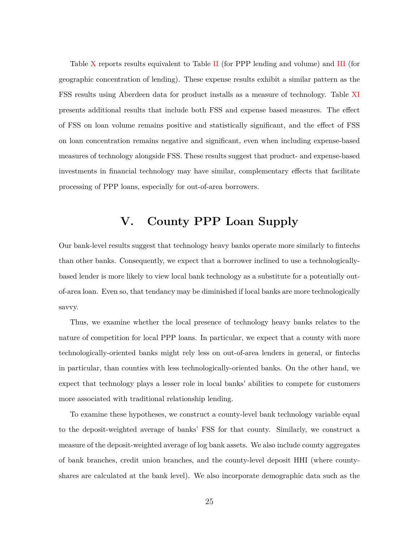Table [X](#page-40-0) reports results equivalent to Table [II](#page-32-0) (for PPP lending and volume) and [III](#page-33-0) (for geographic concentration of lending). These expense results exhibit a similar pattern as the FSS results using Aberdeen data for product installs as a measure of technology. Table [XI](#page-41-0) presents additional results that include both FSS and expense based measures. The effect of FSS on loan volume remains positive and statistically significant, and the effect of FSS on loan concentration remains negative and significant, even when including expense-based measures of technology alongside FSS. These results suggest that product- and expense-based investments in financial technology may have similar, complementary effects that facilitate processing of PPP loans, especially for out-of-area borrowers.

## **V. County PPP Loan Supply**

<span id="page-25-0"></span>Our bank-level results suggest that technology heavy banks operate more similarly to fintechs than other banks. Consequently, we expect that a borrower inclined to use a technologicallybased lender is more likely to view local bank technology as a substitute for a potentially outof-area loan. Even so, that tendancy may be diminished if local banks are more technologically savvy.

Thus, we examine whether the local presence of technology heavy banks relates to the nature of competition for local PPP loans. In particular, we expect that a county with more technologically-oriented banks might rely less on out-of-area lenders in general, or fintechs in particular, than counties with less technologically-oriented banks. On the other hand, we expect that technology plays a lesser role in local banks' abilities to compete for customers more associated with traditional relationship lending.

To examine these hypotheses, we construct a county-level bank technology variable equal to the deposit-weighted average of banks' FSS for that county. Similarly, we construct a measure of the deposit-weighted average of log bank assets. We also include county aggregates of bank branches, credit union branches, and the county-level deposit HHI (where countyshares are calculated at the bank level). We also incorporate demographic data such as the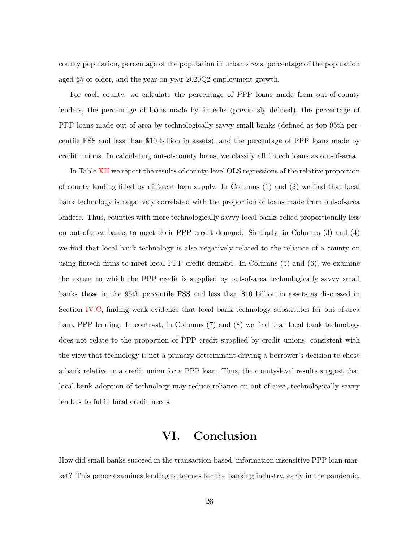county population, percentage of the population in urban areas, percentage of the population aged 65 or older, and the year-on-year 2020Q2 employment growth.

For each county, we calculate the percentage of PPP loans made from out-of-county lenders, the percentage of loans made by fintechs (previously defined), the percentage of PPP loans made out-of-area by technologically savvy small banks (defined as top 95th percentile FSS and less than \$10 billion in assets), and the percentage of PPP loans made by credit unions. In calculating out-of-county loans, we classify all fintech loans as out-of-area.

In Table [XII](#page-42-0) we report the results of county-level OLS regressions of the relative proportion of county lending filled by different loan supply. In Columns (1) and (2) we find that local bank technology is negatively correlated with the proportion of loans made from out-of-area lenders. Thus, counties with more technologically savvy local banks relied proportionally less on out-of-area banks to meet their PPP credit demand. Similarly, in Columns (3) and (4) we find that local bank technology is also negatively related to the reliance of a county on using fintech firms to meet local PPP credit demand. In Columns (5) and (6), we examine the extent to which the PPP credit is supplied by out-of-area technologically savvy small banks–those in the 95th percentile FSS and less than \$10 billion in assets as discussed in Section [IV.C,](#page-17-1) finding weak evidence that local bank technology substitutes for out-of-area bank PPP lending. In contrast, in Columns (7) and (8) we find that local bank technology does not relate to the proportion of PPP credit supplied by credit unions, consistent with the view that technology is not a primary determinant driving a borrower's decision to chose a bank relative to a credit union for a PPP loan. Thus, the county-level results suggest that local bank adoption of technology may reduce reliance on out-of-area, technologically savvy lenders to fulfill local credit needs.

### **VI. Conclusion**

<span id="page-26-0"></span>How did small banks succeed in the transaction-based, information insensitive PPP loan market? This paper examines lending outcomes for the banking industry, early in the pandemic,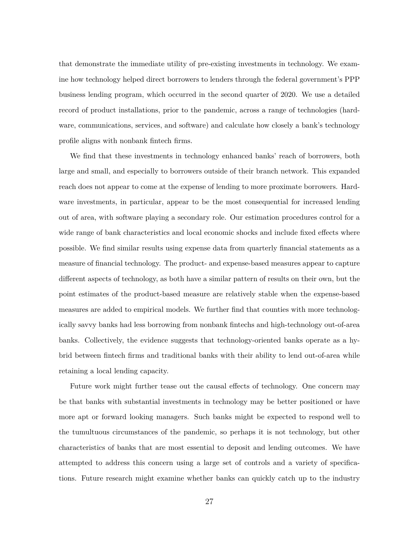that demonstrate the immediate utility of pre-existing investments in technology. We examine how technology helped direct borrowers to lenders through the federal government's PPP business lending program, which occurred in the second quarter of 2020. We use a detailed record of product installations, prior to the pandemic, across a range of technologies (hardware, communications, services, and software) and calculate how closely a bank's technology profile aligns with nonbank fintech firms.

We find that these investments in technology enhanced banks' reach of borrowers, both large and small, and especially to borrowers outside of their branch network. This expanded reach does not appear to come at the expense of lending to more proximate borrowers. Hardware investments, in particular, appear to be the most consequential for increased lending out of area, with software playing a secondary role. Our estimation procedures control for a wide range of bank characteristics and local economic shocks and include fixed effects where possible. We find similar results using expense data from quarterly financial statements as a measure of financial technology. The product- and expense-based measures appear to capture different aspects of technology, as both have a similar pattern of results on their own, but the point estimates of the product-based measure are relatively stable when the expense-based measures are added to empirical models. We further find that counties with more technologically savvy banks had less borrowing from nonbank fintechs and high-technology out-of-area banks. Collectively, the evidence suggests that technology-oriented banks operate as a hybrid between fintech firms and traditional banks with their ability to lend out-of-area while retaining a local lending capacity.

Future work might further tease out the causal effects of technology. One concern may be that banks with substantial investments in technology may be better positioned or have more apt or forward looking managers. Such banks might be expected to respond well to the tumultuous circumstances of the pandemic, so perhaps it is not technology, but other characteristics of banks that are most essential to deposit and lending outcomes. We have attempted to address this concern using a large set of controls and a variety of specifications. Future research might examine whether banks can quickly catch up to the industry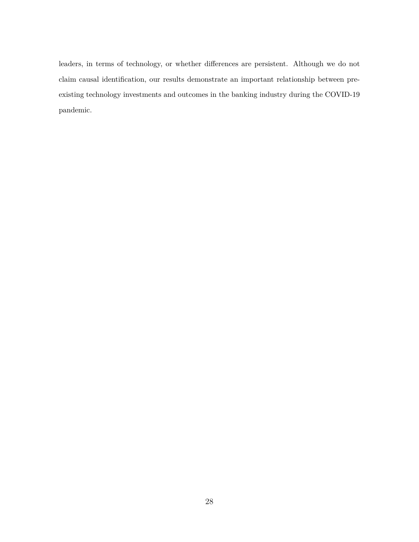leaders, in terms of technology, or whether differences are persistent. Although we do not claim causal identification, our results demonstrate an important relationship between preexisting technology investments and outcomes in the banking industry during the COVID-19 pandemic.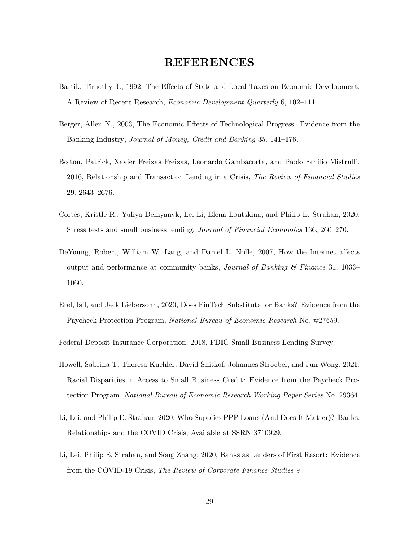## **REFERENCES**

- <span id="page-29-9"></span>Bartik, Timothy J., 1992, The Effects of State and Local Taxes on Economic Development: A Review of Recent Research, *Economic Development Quarterly* 6, 102–111.
- <span id="page-29-5"></span>Berger, Allen N., 2003, The Economic Effects of Technological Progress: Evidence from the Banking Industry, *Journal of Money, Credit and Banking* 35, 141–176.
- <span id="page-29-3"></span>Bolton, Patrick, Xavier Freixas Freixas, Leonardo Gambacorta, and Paolo Emilio Mistrulli, 2016, Relationship and Transaction Lending in a Crisis, *The Review of Financial Studies* 29, 2643–2676.
- <span id="page-29-0"></span>Cortés, Kristle R., Yuliya Demyanyk, Lei Li, Elena Loutskina, and Philip E. Strahan, 2020, Stress tests and small business lending, *Journal of Financial Economics* 136, 260–270.
- <span id="page-29-4"></span>DeYoung, Robert, William W. Lang, and Daniel L. Nolle, 2007, How the Internet affects output and performance at community banks, *Journal of Banking & Finance* 31, 1033– 1060.
- <span id="page-29-7"></span>Erel, Isil, and Jack Liebersohn, 2020, Does FinTech Substitute for Banks? Evidence from the Paycheck Protection Program, *National Bureau of Economic Research* No. w27659.

<span id="page-29-1"></span>Federal Deposit Insurance Corporation, 2018, FDIC Small Business Lending Survey.

- <span id="page-29-8"></span>Howell, Sabrina T, Theresa Kuchler, David Snitkof, Johannes Stroebel, and Jun Wong, 2021, Racial Disparities in Access to Small Business Credit: Evidence from the Paycheck Protection Program, *National Bureau of Economic Research Working Paper Series* No. 29364.
- <span id="page-29-2"></span>Li, Lei, and Philip E. Strahan, 2020, Who Supplies PPP Loans (And Does It Matter)? Banks, Relationships and the COVID Crisis, Available at SSRN 3710929.
- <span id="page-29-6"></span>Li, Lei, Philip E. Strahan, and Song Zhang, 2020, Banks as Lenders of First Resort: Evidence from the COVID-19 Crisis, *The Review of Corporate Finance Studies* 9.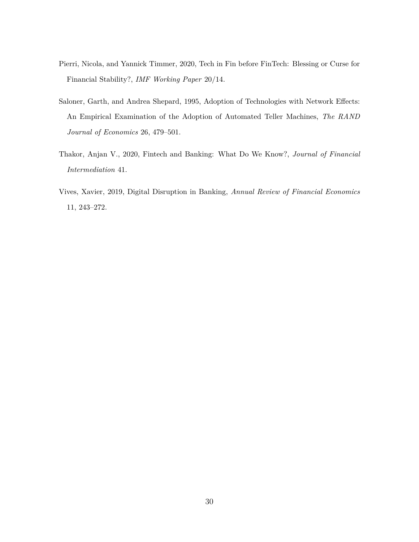- <span id="page-30-3"></span>Pierri, Nicola, and Yannick Timmer, 2020, Tech in Fin before FinTech: Blessing or Curse for Financial Stability?, *IMF Working Paper* 20/14.
- <span id="page-30-2"></span>Saloner, Garth, and Andrea Shepard, 1995, Adoption of Technologies with Network Effects: An Empirical Examination of the Adoption of Automated Teller Machines, *The RAND Journal of Economics* 26, 479–501.
- <span id="page-30-1"></span>Thakor, Anjan V., 2020, Fintech and Banking: What Do We Know?, *Journal of Financial Intermediation* 41.
- <span id="page-30-0"></span>Vives, Xavier, 2019, Digital Disruption in Banking, *Annual Review of Financial Economics* 11, 243–272.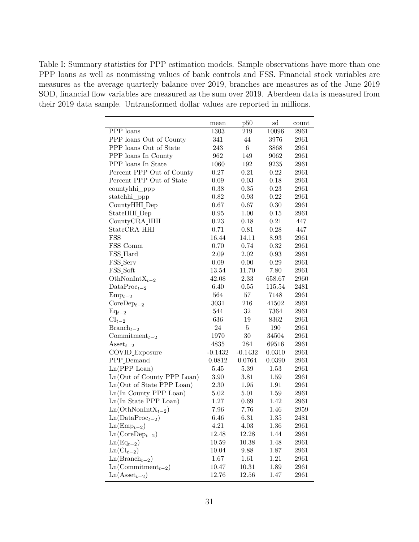<span id="page-31-0"></span>Table I: Summary statistics for PPP estimation models. Sample observations have more than one PPP loans as well as nonmissing values of bank controls and FSS. Financial stock variables are measures as the average quarterly balance over 2019, branches are measures as of the June 2019 SOD, financial flow variables are measured as the sum over 2019. Aberdeen data is measured from their 2019 data sample. Untransformed dollar values are reported in millions.

|                                    | mean      | p50       | sd       | count |
|------------------------------------|-----------|-----------|----------|-------|
| PPP loans                          | 1303      | 219       | 10096    | 2961  |
| PPP loans Out of County            | 341       | 44        | 3976     | 2961  |
| PPP loans Out of State             | 243       | $\,6$     | 3868     | 2961  |
| PPP loans In County                | 962       | 149       | 9062     | 2961  |
| PPP loans In State                 | 1060      | 192       | 9235     | 2961  |
| Percent PPP Out of County          | 0.27      | 0.21      | 0.22     | 2961  |
| Percent PPP Out of State           | 0.09      | 0.03      | 0.18     | 2961  |
| countyhhi_ppp                      | 0.38      | 0.35      | 0.23     | 2961  |
| statehhi_ppp                       | 0.82      | 0.93      | 0.22     | 2961  |
| CountyHHI_Dep                      | 0.67      | 0.67      | 0.30     | 2961  |
| StateHHI_Dep                       | 0.95      | 1.00      | $0.15\,$ | 2961  |
| CountyCRA_HHI                      | 0.23      | 0.18      | 0.21     | 447   |
| StateCRA_HHI                       | 0.71      | 0.81      | 0.28     | 447   |
| FSS                                | 16.44     | 14.11     | 8.93     | 2961  |
| FSS_Comm                           | 0.70      | 0.74      | 0.32     | 2961  |
| FSS_Hard                           | 2.09      | 2.02      | 0.93     | 2961  |
| FSS_Serv                           | 0.09      | 0.00      | 0.29     | 2961  |
| FSS_Soft                           | 13.54     | 11.70     | 7.80     | 2961  |
| OthNonInt $X_{t-2}$                | 42.08     | 2.33      | 658.67   | 2960  |
| $\text{DataProc}_{t-2}$            | 6.40      | $0.55\,$  | 115.54   | 2481  |
| $Emp_{t-2}$                        | 564       | 57        | 7148     | 2961  |
| $CoreDep_{t-2}$                    | 3031      | 216       | 41502    | 2961  |
| $Eq_{t-2}$                         | 544       | $32\,$    | 7364     | 2961  |
| $\text{CI}_{t-2}$                  | 636       | 19        | 8362     | 2961  |
| $Branch_{t-2}$                     | 24        | $\bf 5$   | 190      | 2961  |
| $\text{Commitment}_{t-2}$          | 1970      | $30\,$    | 34504    | 2961  |
| $\text{Asset}_{t-2}$               | 4835      | 284       | 69516    | 2961  |
| COVID_Exposure                     | $-0.1432$ | $-0.1432$ | 0.0310   | 2961  |
| PPP_Demand                         | 0.0812    | 0.0764    | 0.0390   | 2961  |
| Ln(PPP Loan)                       | 5.45      | 5.39      | 1.53     | 2961  |
| Ln(Out of County PPP Loan)         | 3.90      | 3.81      | 1.59     | 2961  |
| Ln(Out of State PPP Loan)          | 2.30      | 1.95      | 1.91     | 2961  |
| Ln(In County PPP Loan)             | 5.02      | 5.01      | 1.59     | 2961  |
| Ln(In State PPP Loan)              | 1.27      | 0.69      | 1.42     | 2961  |
| $Ln(OthNonIntXt-2)$                | 7.96      | 7.76      | 1.46     | 2959  |
| $\text{Ln}(\text{DataProc}_{t-2})$ | 6.46      | 6.31      | 1.35     | 2481  |
| $Ln(Empt-2)$                       | 4.21      | 4.03      | 1.36     | 2961  |
| $\text{Ln}(\text{CoreDep}_{t-2})$  | 12.48     | 12.28     | 1.44     | 2961  |
| $\text{Ln}(\text{Eq}_{t-2})$       | 10.59     | 10.38     | 1.48     | 2961  |
| $Ln(Cl_{t-2})$                     | 10.04     | 9.88      | 1.87     | 2961  |
| $Ln(Brancht-2)$                    | 1.67      | 1.61      | 1.21     | 2961  |
| $Ln(Commitmentt-2)$                | 10.47     | 10.31     | 1.89     | 2961  |
| $Ln(Assett-2)$                     | 12.76     | 12.56     | 1.47     | 2961  |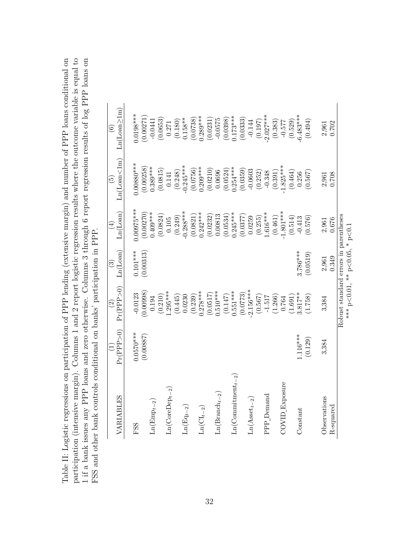<span id="page-32-0"></span>

| Table II: Logistic regressions on participation of PPP lending (extensive margin) and number of PPP loans conditional on | participation (intensive margin). Columns 1 and 2 report logistic regression results where the outcome variable is equal to | and zero otherwise. Columns 3 through 6 report regression results of log PPP loans on | FSS and other bank controls conditional on banks' participation in PPP. |
|--------------------------------------------------------------------------------------------------------------------------|-----------------------------------------------------------------------------------------------------------------------------|---------------------------------------------------------------------------------------|-------------------------------------------------------------------------|
|                                                                                                                          |                                                                                                                             | 1 if a bank issues any PPP loans                                                      |                                                                         |

| VARIABLES                    | Pr(PPP>0)   | Pr(PPP > 0)<br>$\widehat{\Omega}$                                    | Ln(Loan)<br>ව | Ln(Loan)<br>E                                                                                                                                                                       | Ln(Loan<1m)<br>$\widetilde{E}$                                                                                                                                                                                                      | $Ln(Loan \geq 1m)$<br>$\widehat{\odot}$                                                                                                                                               |
|------------------------------|-------------|----------------------------------------------------------------------|---------------|-------------------------------------------------------------------------------------------------------------------------------------------------------------------------------------|-------------------------------------------------------------------------------------------------------------------------------------------------------------------------------------------------------------------------------------|---------------------------------------------------------------------------------------------------------------------------------------------------------------------------------------|
| FSS                          | $0.0570***$ | $-0.0123$                                                            | $0.101***$    | $0.00975***$                                                                                                                                                                        | $00880***$                                                                                                                                                                                                                          | $0.0198***$                                                                                                                                                                           |
|                              | (0.00887)   | (86600.0)                                                            | (0.00313)     | (0.00270)                                                                                                                                                                           | (0.00258)                                                                                                                                                                                                                           | (0.00271)                                                                                                                                                                             |
| $Ln(Empt-2)$                 |             |                                                                      |               | ).409***                                                                                                                                                                            | $0.389***$                                                                                                                                                                                                                          |                                                                                                                                                                                       |
|                              |             | $\begin{array}{c} 0.194 \\ (0.210) \\ 1.295*** \end{array}$          |               |                                                                                                                                                                                     | $\begin{array}{c} (0.0815) \\ 0.141 \\ (0.248) \\ -0.245^{***} \end{array}$                                                                                                                                                         | $\begin{array}{c} -0.0441 \\ (0.0653) \\ 0.271 \\ (0.180) \\ (0.180) \\ 0.158^{**} \end{array}$                                                                                       |
| $Ln(CoreDept-2)$             |             |                                                                      |               |                                                                                                                                                                                     |                                                                                                                                                                                                                                     |                                                                                                                                                                                       |
|                              |             |                                                                      |               | $(0.0824)$<br>0.105<br>$(0.249)$<br>$-0.288***$                                                                                                                                     |                                                                                                                                                                                                                                     |                                                                                                                                                                                       |
| $Ln(Eq_{t-2})$               |             | $\left(0.445\right)$ $0.0230$                                        |               |                                                                                                                                                                                     |                                                                                                                                                                                                                                     |                                                                                                                                                                                       |
|                              |             |                                                                      |               |                                                                                                                                                                                     |                                                                                                                                                                                                                                     |                                                                                                                                                                                       |
| $\text{Ln}(\text{CI}_{t-2})$ |             | $(0.239)$<br>$0.278***$                                              |               |                                                                                                                                                                                     |                                                                                                                                                                                                                                     |                                                                                                                                                                                       |
|                              |             | $(0.0517)$<br>0.510***                                               |               | $\begin{array}{l} (0.0821) \\ 0.242^{***} \\ (0.0232) \\ (0.00813 \\ (0.0534) \\ (0.0534) \\ (0.0377) \\ (0.0377) \\ (0.0377) \\ (0.255) \\ (0.255) \\ (1.616^{***} \\ \end{array}$ | $\begin{array}{l} (0.0756) \\ 0.209^{***} \\ (0.0210) \\ (0.0524) \\ (0.0524^{***} \\ (0.0359) \\ (0.0359) \\ (0.254^{***} \\ (0.0359) \\ (0.252) \\ (0.391) \\ (0.464) \\ (0.464) \\ (0.467) \\ (0.567) \\ (0.567) \\ \end{array}$ | $\begin{array}{l} (0.0738) \\ 0.289^{***} \\ (0.0231) \\ (0.0231) \\ (0.0575 \\ (0.0398) \\ (0.173^{***} \\ (0.0333) \\ (0.014) \\ (0.197) \\ (0.197) \\ -2.027^{***} \\ \end{array}$ |
| $Ln(Brand_{t-2})$            |             |                                                                      |               |                                                                                                                                                                                     |                                                                                                                                                                                                                                     |                                                                                                                                                                                       |
|                              |             |                                                                      |               |                                                                                                                                                                                     |                                                                                                                                                                                                                                     |                                                                                                                                                                                       |
| $Ln(Commitment_{t-2})$       |             | $(0.147)$<br>0.551***                                                |               |                                                                                                                                                                                     |                                                                                                                                                                                                                                     |                                                                                                                                                                                       |
|                              |             | $(0.0773)$<br>-2.156***                                              |               |                                                                                                                                                                                     |                                                                                                                                                                                                                                     |                                                                                                                                                                                       |
| $Ln(Assett-2)$               |             |                                                                      |               |                                                                                                                                                                                     |                                                                                                                                                                                                                                     |                                                                                                                                                                                       |
|                              |             | $\begin{array}{c} (0.567) \\ -1.517 \\ (1.266) \\ 0.764 \end{array}$ |               |                                                                                                                                                                                     |                                                                                                                                                                                                                                     |                                                                                                                                                                                       |
| PPP <sub>_</sub> Demand      |             |                                                                      |               |                                                                                                                                                                                     |                                                                                                                                                                                                                                     |                                                                                                                                                                                       |
|                              |             |                                                                      |               | $(0.461)$ $1.801***$                                                                                                                                                                |                                                                                                                                                                                                                                     | $\left(0.383\right)$ -0.577                                                                                                                                                           |
| COVID_Exposure               |             |                                                                      |               |                                                                                                                                                                                     |                                                                                                                                                                                                                                     |                                                                                                                                                                                       |
|                              |             | $(1.691)$<br>3.817**                                                 |               | $\begin{array}{c} (0.514) \\ -0.413 \\ \hline 0.576) \end{array}$                                                                                                                   |                                                                                                                                                                                                                                     | $(0.529)$<br>$-6.483***$                                                                                                                                                              |
| Constant                     | $.116***$   |                                                                      | $3.786***$    |                                                                                                                                                                                     |                                                                                                                                                                                                                                     |                                                                                                                                                                                       |
|                              | (0.129)     | (1.758)                                                              | (0.0519)      |                                                                                                                                                                                     |                                                                                                                                                                                                                                     | (0.494)                                                                                                                                                                               |

Observations 3,384 3,384 2,961 2,961 2,961 2,961 2,961 R-squared 0.702 0.349 0.676 0.708 0.702 Robust standard errors in parentheses

3,384

3,384

Observations R-squared

 $2,961$ <br> $0.349$ 

 $2,961$ <br> $0.702$ 

 $2,961$ <br> $0.708$ 

 $2,961$ <br> $0.676$ 

\*\*\* p

 $\leq 0.01$ , \*\* p

 $<$ 0.05,  $*$  p $\sim$ 

*<*0.1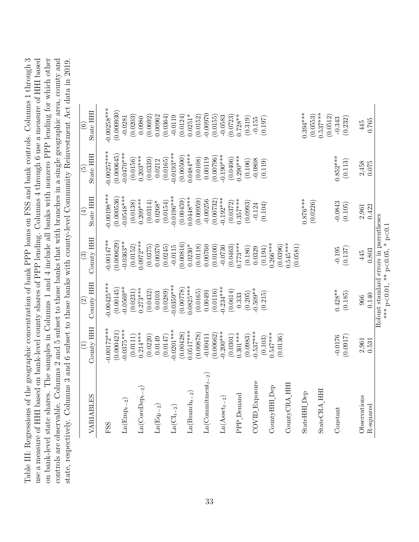<span id="page-33-0"></span>Table III: Regressions of the geographic concentration of bank PPP loans on FSS and bank controls. Columns 1 through 3 Table III: Regressions of the geographic concentration of bank PPP loans on FSS and bank controls. Columns 1 through 3 use a measure of HHI based on bank-level county shares of PPP lending. Columns 4 through 6 use a measure of HHI based on bank-level state shares. The samples in Columns 1 and 4 include all banks with nonzero PPP lending for which other controls are observable. Columns 2 and 5 subset to those banks that with branches in a single geographic area, county and state, respectively. Columns 3 and 6 subset to those banks with county-level Community Reinvestment Act data in 2019. use a measure of HHI based on bank-level county shares of PPP lending. Columns 4 through 6 use a measure of HHI based on bank-level state shares. The samples in Columns 1 and 4 include all banks with nonzero PPP lending for which other controls are observable. Columns 2 and 5 subset to those banks that with branches in a single geographic area, county and state, respectively. Columns 3 and 6 subset to those banks with county-level Community Reinvestment Act data in 2019.

| VARIABLES                            | County HHI<br>$\equiv$ | County HHI<br>$\widehat{\mathfrak{S}}$ | County HHI<br>$\widehat{S}$                  | State HHI<br>$\bigoplus$ | State HHI<br>$\widetilde{\Xi}$ | State HHI<br>$\odot$   |
|--------------------------------------|------------------------|----------------------------------------|----------------------------------------------|--------------------------|--------------------------------|------------------------|
|                                      |                        |                                        |                                              |                          |                                |                        |
| FSS                                  | $0.00172***$           | $0.00425***$                           | $-0.00147**$                                 | $-0.00198***$            | $-0.00257***$                  | $-0.00258***$          |
|                                      | (0.000421)             | (0.00145)                              | (0.000629)                                   | (0.000536)               | (0.000645)                     | (0.000930)             |
| $\text{Ln}(\text{Emp}_{t-2})$        | $-0.0375***$           | $-0.0569**$                            | $-0.0363***$                                 | $-0.0548***$             | $-0.0470***$                   | $-0.0281$              |
|                                      | (0.0111)               | (0.0231)                               | (0.0152)                                     | (0.0138)                 | (0.0156)                       | (0.0203)               |
| $Ln(CoreDep_{t-2})$                  | $0.214***$             | $0.273***$                             | $0.0972***$                                  | $0.209***$               | $0.203***$                     | 0.0980                 |
|                                      | (0.0220)               | (0.0432)                               | (0.0375)                                     | (0.0314)                 | (0.0339)                       | (0.0692)               |
| $\text{Ln}(\text{Eq}_{t-2})$         | 0.0149                 | 0.0103                                 | 0.00370                                      | $0.0268*$                | 0.0212                         | 0.00962                |
|                                      | (0.0147)               | (0.0289)                               | (0.0245)                                     | (0.0154)                 | (0.0165)                       | (0.0364)               |
| $\text{Ln}(\text{CI}_{t-2})$         | $-0.0201***$           | $-0.0359***$                           | $-0.0115$                                    | $-0.0196***$             | $-0.0193***$                   | $-0.0119$              |
|                                      | (0.00428)              | (87700.0)                              | (0.00816)                                    | (0.00459)                | (0.00500)                      | (0.0124)               |
| $\text{Ln}(\text{Branch}_{t-2})$     | $0.0517***$            | $0.0825***$                            | $0.0230*$                                    | $0.0448***$              | $0.0484***$                    | $0.0251*$              |
|                                      | (0.00878)              | (0.0165)                               | (0.0118)                                     | (0.00959)                | (0.0108)                       | (0.0152)               |
| $\text{Ln}(\text{Commitment}_{t-2})$ | $-0.00411$             | 0.00491                                | 0.00760                                      | $-0.00256$               | 0.00119                        | $-0.00970$             |
|                                      | (0.00662)              | (0.0116)                               | (0.0100)                                     | (0.00732)                | (0.00796)                      | (0.0155)               |
| $Ln(Asset_{t-2})$                    | $-0.200***$            | $-0.234***$                            | $-0.0730$                                    | $-0.192***$              | $0.190***$                     | $-0.0583$              |
|                                      | (0.0301)               | (0.0614)                               | (0.0463)                                     | (0.0372)                 | (0.0406)                       | 0.0723                 |
| PPP_Demand                           | $0.301***$             | 0.333                                  | $0.773***$                                   | $0.357***$               | $0.290***$                     | $0.728**$              |
|                                      | (0.0983)               | (0.205)                                | (0.186)                                      | (0.0993)                 | (0.106)                        | (0.319)                |
| COVID_Exposure                       | $0.537***$             | $0.509**$                              | 0.0329                                       | $-0.124$                 | $-0.0808$                      | $-0.155$               |
|                                      | (0.103)                | (0.215)                                | (0.194)                                      | (0.104)                  | (0.119)                        | (0.197)                |
| CountyHH <sub>_Dep</sub>             | $0.547***$             |                                        | $0.266***$                                   |                          |                                |                        |
|                                      | (0.0136)               |                                        | (0.0396)                                     |                          |                                |                        |
| CountyCRA HHI                        |                        |                                        | $0.545***$<br>(0.0581)                       |                          |                                |                        |
| StateHHI Dep                         |                        |                                        |                                              | $0.876***$               |                                | $0.394***$             |
|                                      |                        |                                        |                                              | (0.0226)                 |                                | (0.0553)               |
| StateCRA HH                          |                        |                                        |                                              |                          |                                | $0.537***$<br>(0.0512) |
| Constant                             | $-0.0176$              | $0.428**$                              | $-0.195$                                     | $-0.0843$                | $0.852***$                     | $-0.343$               |
|                                      | (0.0917)               | (0.185)                                | (0.137)                                      | (0.105)                  | (0.113)                        | (0.232)                |
|                                      |                        |                                        |                                              |                          |                                |                        |
| Observations                         | 2,961                  | 966                                    | 445                                          | 2,961                    | 2,458                          | 445                    |
| R-squared                            | 0.531                  | 0.140                                  | 0.803                                        | 0.422                    | 0.075                          | 0.765                  |
|                                      |                        | Robust standard errors in parentheses  |                                              |                          |                                |                        |
|                                      |                        |                                        | *** $p < 0.01$ , ** $p < 0.05$ , * $p < 0.1$ |                          |                                |                        |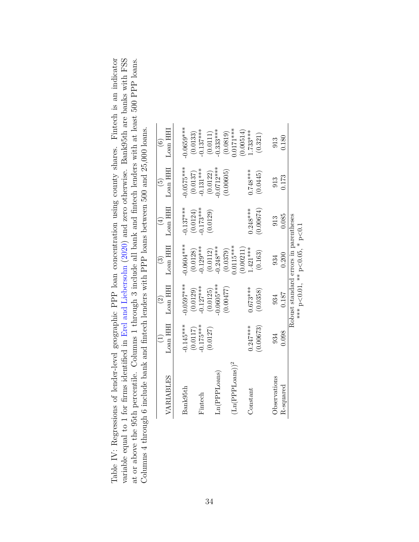<span id="page-34-0"></span>

| Table IV: Regressions of lender-level geographic PPP loan concentration using county shares. Fintech is an indicator | variable equal to 1 for firms identified in Erel and Liebersohn (2020) and zero otherwise. Bank95th are banks with FSS | at or above the 95th percentile. Columns 1 through 3 include all bank and fintech lenders with at least 500 PPP loans. | s and fintech lenders with PPP loans between 500 and 25,000 loans.<br>Columns 4 through 6 include bank |  |
|----------------------------------------------------------------------------------------------------------------------|------------------------------------------------------------------------------------------------------------------------|------------------------------------------------------------------------------------------------------------------------|--------------------------------------------------------------------------------------------------------|--|
|                                                                                                                      |                                                                                                                        |                                                                                                                        |                                                                                                        |  |

|                                      |             | $\widehat{\Omega}$                    | $\odot$                        | (4)         | $\widetilde{E}$         | $\widehat{\odot}$         |
|--------------------------------------|-------------|---------------------------------------|--------------------------------|-------------|-------------------------|---------------------------|
| VARIABLES                            | Loan HHI    | Loan HHI                              | Loan HHI                       | Loan HHI    | Loan HHI                | Loan HH                   |
| Bank95th                             | $-0.145***$ | $-0.0597***$                          | $-0.0604***$                   | $-0.137***$ | $-0.0575***$            | $0.0659***$               |
|                                      | (0.0117)    | (0.0129)                              | (0.0128)                       | (0.0124)    | $(0.0137)$<br>-0.131*** | (0.0133)                  |
| $\rm{Finter}$                        | $-0.175***$ | $-0.127***$                           | $-0.129***$                    | $-0.173***$ |                         | $-0.137***$               |
|                                      | (0.0127)    | (0.0125)                              | (0.0112)                       | (0.0129)    | (0.0122)                | $(0.0111)$<br>-0.333***   |
| Ln(PPLoans)                          |             | $0.0605***$                           | $-0.248***$                    |             | $0.0712***$             |                           |
|                                      |             | (0.00477)                             | (0.0379)                       |             | (0.00605)               | $(0.0819)$<br>$0.0171***$ |
| $(Ln(\mathrm{PPL} \mathrm{oans}))^2$ |             |                                       | $0.0115***$                    |             |                         |                           |
|                                      |             |                                       | (0.00211)                      |             |                         | (0.00514)                 |
| Constant                             | $0.247***$  | $0.673***$                            | $1.421***$                     | $0.248***$  | $0.748***$              | $1.733***$                |
|                                      | (0.00673)   | (0.0358)                              | (0.163)                        | (0.00674)   | (0.0445)                | (0.321)                   |
| Observations                         | 934         | 934                                   | 934                            | 913         | 913                     | 913                       |
| R-squared                            | 0.098       | $0.187\,$                             | 0.200                          | 0.085       | 0.173                   | 0.180                     |
|                                      |             | Robust standard errors in parentheses | *** p<0.01, ** p<0.05, * p<0.1 |             |                         |                           |
|                                      |             |                                       |                                |             |                         |                           |

34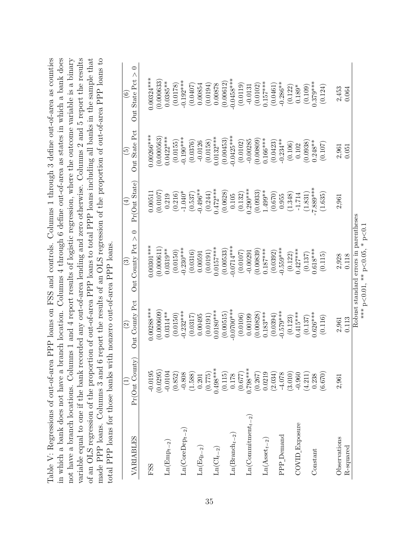<span id="page-35-0"></span>

| variable equal to one if the bank recorded any out-of-area lending and zero otherwise. Columns 2 and 5 report the results<br>Table V: Regressions of out-of-area PPP loans on FSS and controls. Columns 1 through 3 define out-of-area as counties<br>in which a bank does not have a branch location. Columns 4 through 6 define out-of-area as states in which a bank does<br>of an OLS regression of the proportion of out-of-area PPP loans to total PPP loans including all banks in the sample that<br>not have a branch locations. Columns 1 and 4 report results of logistic regression, where the outcome variable is a binary<br>total PPP loans for those banks with nonzero out-of-area PPP loans.<br>made PPP loans. Columns 3 and |                       |                                            | 6 report the results of an OLS regression of the proportion of out-of-area PPP loans to |                              |                                    |                                                                  |
|-------------------------------------------------------------------------------------------------------------------------------------------------------------------------------------------------------------------------------------------------------------------------------------------------------------------------------------------------------------------------------------------------------------------------------------------------------------------------------------------------------------------------------------------------------------------------------------------------------------------------------------------------------------------------------------------------------------------------------------------------|-----------------------|--------------------------------------------|-----------------------------------------------------------------------------------------|------------------------------|------------------------------------|------------------------------------------------------------------|
| VARIABLES                                                                                                                                                                                                                                                                                                                                                                                                                                                                                                                                                                                                                                                                                                                                       | Pr(Out County)        | Out County Pct<br>$\widehat{\mathfrak{S}}$ | Out County Pct $> 0$<br>$\widehat{\mathbb{E}}$                                          | Pr(Out State)<br>$\bigoplus$ | Out State Pct<br>$\widetilde{\Xi}$ | $\circ$<br>$\wedge$<br>Out State Pct<br>$\widehat{\mathfrak{s}}$ |
| FSS                                                                                                                                                                                                                                                                                                                                                                                                                                                                                                                                                                                                                                                                                                                                             | $-0.0195$             | 1.00288***                                 | $0.00301***$                                                                            | 0.00511                      | 0.00266***                         | $0.00324***$                                                     |
| $Ln(Empt-2)$                                                                                                                                                                                                                                                                                                                                                                                                                                                                                                                                                                                                                                                                                                                                    | (0.0295)<br>$-0.0104$ | (0.000609)<br>$0.0314***$                  | (0.000611)<br>$0.0319**$                                                                | (0.0107)<br>0.219            | (0.000563)<br>$0.0422***$          | (0.000633)<br>$0.0385***$                                        |
| $Ln(CoreDept-2)$                                                                                                                                                                                                                                                                                                                                                                                                                                                                                                                                                                                                                                                                                                                                | (0.852)<br>$-0.808$   | $-0.232***$<br>(0.0150)                    | $-0.230***$<br>(0.0150)                                                                 | $-1.040*$<br>(0.216)         | $-0.190***$<br>(0.0155)            | $-0.192***$<br>(0.0178)                                          |
| $\mathrm{Ln}(\mathrm{Eq}_{t-2})$                                                                                                                                                                                                                                                                                                                                                                                                                                                                                                                                                                                                                                                                                                                | (1.588)<br>0.201      | 0.00495<br>(0.0317)                        | (0.0316)<br>0.00591                                                                     | $-0.496**$<br>(0.537)        | (0.0376)<br>$-0.0126$              | 0.00854<br>(0.0407)                                              |
| $Ln(Cl_{t-2})$                                                                                                                                                                                                                                                                                                                                                                                                                                                                                                                                                                                                                                                                                                                                  | $0.498***$<br>(0.775) | $0.0180***$<br>(0.0191)                    | $0.0157***$<br>(0.0191)                                                                 | $0.472***$<br>(0.244)        | $0.0132***$<br>(0.0158)            | 0.00878<br>(0.0194)                                              |
|                                                                                                                                                                                                                                                                                                                                                                                                                                                                                                                                                                                                                                                                                                                                                 | (0.115)               | (0.00515)                                  | (0.00533)                                                                               | (0.0628)                     | (0.00453)                          | (0.00612)                                                        |
| $\text{Ln}(\text{Branch}_{t-2})$                                                                                                                                                                                                                                                                                                                                                                                                                                                                                                                                                                                                                                                                                                                | (0.677)<br>0.178      | 0.0700<br>(0.0106)                         | $-0.0714***$<br>(0.0107)                                                                | (0.132)<br>0.105             | $-0.0425***$<br>(0.0102)           | $-0.0458***$<br>(0.0119)                                         |
| $Ln(Comnitment_{t-2})$                                                                                                                                                                                                                                                                                                                                                                                                                                                                                                                                                                                                                                                                                                                          | $0.798***$            | 0.00199                                    | $-0.00291$                                                                              | $0.290***$                   | $-0.00285$                         | $-0.0131$                                                        |
| $Ln(Asset_{t-2})$                                                                                                                                                                                                                                                                                                                                                                                                                                                                                                                                                                                                                                                                                                                               | (0.267)<br>0.0219     | $0.183***$<br>(0.00828)                    | $0.187***$<br>(0.00839)                                                                 | $1.499**$<br>(0.0933)        | $0.166***$<br>(0.00809)            | $0.157***$<br>(0.0102)                                           |
| PPP <sub>_Demand</sub>                                                                                                                                                                                                                                                                                                                                                                                                                                                                                                                                                                                                                                                                                                                          | (2.034)<br>$-4.078$   | $-0.579***$<br>(0.0394)                    | $-0.559***$<br>(0.0392)                                                                 | (0.670)<br>0.955             | $-0.234***$<br>(0.0423)            | $-0.286**$<br>(0.0461)                                           |
|                                                                                                                                                                                                                                                                                                                                                                                                                                                                                                                                                                                                                                                                                                                                                 | (3.010)               | (0.123)                                    | (0.122)                                                                                 | (1.348)                      | (0.106)                            | (0.122)                                                          |
| $\mathrm{COVD\_Exposure}$                                                                                                                                                                                                                                                                                                                                                                                                                                                                                                                                                                                                                                                                                                                       | $-0.960$              | $0.415***$                                 | $0.427***$                                                                              | $-1.714$                     | 0.102                              | $0.189*$                                                         |
| Constant                                                                                                                                                                                                                                                                                                                                                                                                                                                                                                                                                                                                                                                                                                                                        | (4.211)<br>0.238      | $0.626***$<br>(0.137)                      | $0.618***$<br>(0.137)                                                                   | 7.889***<br>(1.831)          | $0.248***$<br>(0.0938)             | $0.379***$<br>(0.109)                                            |
|                                                                                                                                                                                                                                                                                                                                                                                                                                                                                                                                                                                                                                                                                                                                                 | (6.670)               | (0.116)                                    | (0.115)                                                                                 | (1.635)                      | (0.107)                            | (0.124)                                                          |
| Observations<br>R-squared                                                                                                                                                                                                                                                                                                                                                                                                                                                                                                                                                                                                                                                                                                                       | 2,961                 | 0.113<br>2,961                             | 2,928<br>0.118                                                                          | 2,961                        | 0.051<br>2,961                     | 2,453<br>0.064                                                   |
|                                                                                                                                                                                                                                                                                                                                                                                                                                                                                                                                                                                                                                                                                                                                                 |                       |                                            | Robust standard errors in parentheses<br>*** $p$ <0.01, ** $p$ <0.05, * $p$ <0.1        |                              |                                    |                                                                  |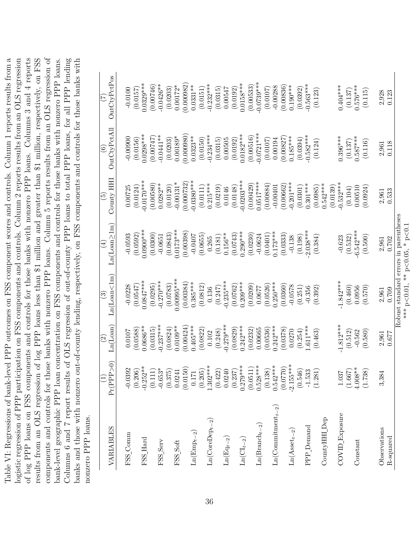<span id="page-36-0"></span>Table VI: Regressions of bank-level PPP outcomes on FSS component scores and controls. Column 1 reports results from a of log PPP loans on FSS components and controls for those banks with nonzero PPP loans. Columns 3 and 4 reports Table VI: Regressions of bank-level PPP outcomes on FSS component scores and controls. Column 1 reports results from a logistic regression of PPP participation on FSS components and controls. Column 2 reports results from an OLS regression results from an OLS regression of log PPP loans less than \$1 million and greater than \$1 million, respectively, on FSS components and controls for those banks with nonzero PPP loans. Column 5 reports results from an OLS regression of components and controls for those banks with nonzero PPP loans. Column 5 reports results from an OLS regression of bank-level geographic PPP loan concentration on FSS components and controls for those banks with nonzero PPP loans. Columns 6 and 7 report results of OLS regression of out-of-county PPP loans to total PPP loans, for all PPP lending Columns 6 and 7 report results of OLS regression of out-of-county PPP loans to total PPP loans, for all PPP lending banks and those with nonzero out-of-county lending, respectively, on FSS components and controls for those banks with logistic regression of PPP participation on FSS components and controls. Column 2 reports results from an OLS regression of log PPP loans on FSS components and controls for those banks with nonzero PPP loans. Columns 3 and 4 reports results from an OLS regression of log PPP loans less than \$1 million and greater than \$1 million, respectively, on FSS bank-level geographic PPP loan concentration on FSS components and controls for those banks with nonzero PPP loans. banks and those with nonzero out-of-county lending, respectively, on FSS components and controls for those banks with nonzero PPP loans. nonzero PPP loans.

| VARIABLES                             | Pr(PPP>0)              | Ln(Loan)<br>$\widetilde{\Omega}$ | Ln(Loan<1m)<br>$\widetilde{\mathcal{S}}$ | $Ln(Loan \geq 1m)$<br>₹ | County HHI<br>$\widetilde{\mathfrak{G}}$ | OutCtyPctAll<br>$\widehat{\mathbf{e}}$ | OutCtyPctPos   |
|---------------------------------------|------------------------|----------------------------------|------------------------------------------|-------------------------|------------------------------------------|----------------------------------------|----------------|
| FSS_Comm                              | $-0.0392$              | $0.0107\,$                       | $-0.0228$                                | $-0.0593$               | 0.00725                                  | 0.00900                                | $-0.0100$      |
|                                       | (0.206)                | (0.0588)                         | (0.0547)                                 | (0.0592)                | (0.0124)                                 | (0.0156)                               | (0.0157)       |
| $FSS$ Hard                            | $-0.252***$            | $0.0686**$                       | $0.0847***$                              | 0.0000                  | $-0.0170***$                             | $0.0298***$                            | $0.0329***$    |
|                                       | (0.111)                | (0.0315)                         | (0.0295)                                 | (0.0300)                | (0.00580)                                | (0.00747)                              | (0.00746)      |
| FSS_Serv                              | $-0.653*$              | $-0.237***$                      | $-0.270***$                              | $-0.0651$               | $0.0282***$                              | $-0.0441**$                            | $-0.0426**$    |
|                                       | (0.375)                | (0.0824)                         | (0.0783)                                 | (0.0843)                | (0.0120)                                 | (0.0203)                               | (0.0203)       |
| FSS_Soft                              | 0.0241                 | $0.0109**$                       | $0.00995***$                             | $0.0173***$             | $-0.00131*$                              | $0.00189*$                             | $0.00172*$     |
|                                       | (0.0150)               | (0.00424)                        | (0.00384)                                | (0.00398)               | (0.000732)                               | (0.000980)                             | (0.000982)     |
| $\text{Ln}(\text{Emp}_{t-2})$         | 0.171                  | $0.405***$                       | $0.385***$                               | $-0.0407$               | $-0.0380***$                             | $0.0323**$                             | $0.0331***$    |
|                                       | (0.205)                | (0.0822)                         | (0.0812)                                 | (0.0655)                | (0.0111)                                 | (0.0150)                               | (0.0151)       |
| $\text{Ln}(\text{CoreDep}_{t-2})$     | $1.302***$             | 0.102                            | 0.136                                    | 0.265                   | $0.215***$                               | $-0.234***$                            | $-0.232***$    |
|                                       | (0.422)                | (0.248)                          | (0.247)                                  | (0.181)                 | (0.0219)                                 | (0.0315)                               | (0.0315)       |
| $\text{Ln}(\text{Eq}_{t-2})$          | 0.0240                 | $-0.279***$                      | $-0.235***$                              | $0.156***$              | 0.0146                                   | 0.00505                                | 0.00547        |
|                                       | (0.237)                | (0.0829)                         | (0.0762)                                 | (0.0743)                | (0.0148)                                 | (0.0192)                               | (0.0192)       |
| $\text{Ln}(\text{CI}_{t-2})$          | $0.279***$             | $0.242***$                       | $0.209***$                               | $0.290***$              | $-0.0203***$                             | $0.0182***$                            | $0.0158***$    |
|                                       | (0.0511)               | (0.0232)                         | (0.0209)                                 | (0.0230)                | (0.00429)                                | (0.00516)                              | (0.00533)      |
| $Ln(Brand_{t-2})$                     | $0.528***$             | 0.00665                          | 0.0677                                   | $-0.0624$               | $0.0517***$                              | $-0.0721***$                           | $-0.0739***$   |
|                                       | (0.138)                | (0.0536)                         | (0.0526)                                 | (0.0401)                | (0.00884)                                | (0.0107)                               | (0.0107)       |
| $Ln(Commitment_{t-2})$                | $0.542***$             | $0.242***$                       | $0.250***$                               | $0.173***$              | $-0.00401$                               | 0.00194                                | $-0.00288$     |
|                                       | (0.0770)               | (0.0378)                         | (0.0360)                                 | (0.0333)                | (0.00662)                                | 7280000()                              | (0.00836)      |
| $\text{Ln}(\text{A}\text{set}_{t-2})$ | $-2.155***$            | 0.0270                           | $-0.0578$                                | $-0.138$                | $-0.201***$                              | $0.185***$                             | $0.190***$     |
|                                       | (0.546)                | (0.254)                          | (0.251)                                  | (0.198)                 | (0.0301)                                 | (0.0394)                               | (0.0392)       |
| PPP Demand                            | $-1.533$               | $1.611***$                       | $-0.356$                                 | $2.038***$              | $0.301***$                               | $-0.582***$                            | $-0.563***$    |
|                                       | (1.281)                | (0.463)                          | (0.392)                                  | (0.384)                 | (0.0985)                                 | (0.124)                                | (0.123)        |
| $CountyHH\_Dep$                       |                        |                                  |                                          |                         | $0.542***$                               |                                        |                |
|                                       |                        |                                  |                                          |                         | (0.0139)                                 |                                        |                |
| COVID_Exposure                        | 1.037                  | $-1.812***$                      | $-1.842***$                              | $-0.623$                | $-0.532***$                              | 1.396***                               | $0.404***$     |
|                                       | (1.667)                | (0.512)                          | (0.460)                                  | (0.532)                 | (0.104)                                  | (0.137)                                | (0.137)        |
| Constant                              | $4.008**$              | $-0.562$                         | 0.0956                                   | $-6.542***$             | 0.00510                                  | $0.587***$                             | $0.576***$     |
|                                       | (1.738)                | (0.580)                          | (0.570)                                  | (0.500)                 | (0.0924)                                 | (0.116)                                | (0.115)        |
| Observations                          | $\overline{84}$<br>3,3 | 2,961                            | 2,961                                    | $\hphantom{0}2,\!961$   |                                          | $2,961$                                |                |
| R-squared                             |                        | 0.677                            | 0.709                                    | 0.702                   | $2,961$<br>$0.533$                       | 0.118                                  | 2,928<br>0.123 |
|                                       |                        |                                  | Robust standard errors in parentheses    |                         |                                          |                                        |                |

\*\*\* p

 $\leq 0.01$ , \*\* p

 $<$ 0.05,  $*$  p $\sim$ 

*<*0.1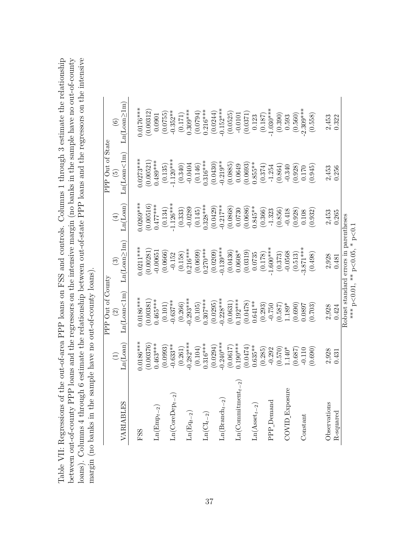<span id="page-37-0"></span>Table VII: Regressions of the out-of-area PPP loans on FSS and controls. Columns 1 through 3 estimate the relationship between out-of-county PPP loans and the regressors on the intensive margin (no banks in the sample have no out-of-county loans). Columns 4 through 6 estimate the relationship between out-of-state PPP loans and the regressors on the intensive Table VII: Regressions of the out-of-area PPP loans on FSS and controls. Columns 1 through 3 estimate the relationship between out-of-county PPP loans and the regressors on the intensive margin (no banks in the sample have no out-of-county loans). Columns 4 through 6 estimate the relationship between out-of-state PPP loans and the regressors on the intensive margin (no banks in the sample have no out-of-county loans). margin (no banks in the sample have no out-of-county loans).

|                                                                                        |                        | PPP Out of County      |                                                                                  |                         | PPP Out of State       |                                                 |
|----------------------------------------------------------------------------------------|------------------------|------------------------|----------------------------------------------------------------------------------|-------------------------|------------------------|-------------------------------------------------|
|                                                                                        |                        | $\widehat{\Omega}$     | $\odot$                                                                          | $\bigoplus$             | $\widetilde{5}$        | $\circledS$                                     |
| VARIABLES                                                                              | Ln(Loan)               | Ln(Loan<1m)            | Ln(Loan <sub>2</sub> 1m)                                                         | Ln(Loan)                | Ln(Loan<1m)            | $Ln(Loan \geq 1m)$                              |
| FSS                                                                                    | $0.0186***$            | $0.0186***$            | $0.0211***$                                                                      | $0.0269***$             | $0.0273***$            | $0.0176***$                                     |
|                                                                                        | (0.00376)              | (0.00381)              | (0.00281)                                                                        | (0.00516)               | (0.00521)              | (0.00312)                                       |
| $Ln(Empt-2)$                                                                           | $0.463***$             | $0.465***$             | $-0.00651$                                                                       | $0.477***$              | $0.489***$             | 0.0901                                          |
|                                                                                        | (0.0993)               | (0.101)                | (0.0666)                                                                         | (0.134)                 |                        |                                                 |
| $Ln(CoreDep_{t-2})$                                                                    | $-0.633**$             | $-0.637**$             | $-0.152$                                                                         | $-1.126***$             | $(0.135)$<br>-1.120*** | $(0.0755)$<br>-0.352**                          |
|                                                                                        | $(0.261)$<br>-0.282*** | $(0.266)$<br>-0.293*** | (0.158)                                                                          | (0.333)                 | (0.340)                | $(0.171)$<br>0.309***                           |
| $\mathrm{Ln}(\mathrm{Eq}_{t-2})$                                                       |                        |                        | $0.216***$                                                                       | $-0.0289$               | $-0.0404$              |                                                 |
|                                                                                        | (0.104)                | (0.105)                | (0.0699)                                                                         | (0.145)                 | (0.146)                | (0.0794)                                        |
| $\mathop{\rm Ln}\nolimits({\rm CI}_{t-2})$                                             | $0.316***$             | $0.307***$             | $0.270***$                                                                       | $0.328***$              | $0.316***$             | $0.216***$                                      |
|                                                                                        | (0.0294)               | (0.0295)               | (0.0209)                                                                         | $(0.0429)$<br>-0.217**  | (0.0430)               | (0.0244)                                        |
| $Ln(Brandn_{t-2})$                                                                     | $-0.240***$            | $-0.228***$            | $0.139***$                                                                       |                         | $-0.219**$             | $-0.152***$                                     |
|                                                                                        | $(0.0617)$<br>0.190*** | (0.0631)               | (0.0436)                                                                         | $(0.0868)$<br>0.0730    | (0.0885)               |                                                 |
| $\mathop{\rm Ln}\nolimits(\mathop{\rm Commitment}\nolimits_{t-2}$                      |                        | $0.192***$             | $0.0608*$                                                                        |                         | 0.0649                 | $(0.0525)$<br>-0.0101                           |
|                                                                                        | (0.0474)               | (0.0478)               | (0.0319)                                                                         | $(0.0686)$<br>$0.845**$ | (0.0693)               | (0.0371)                                        |
| $\ensuremath{\text{Ln}}\xspace(\ensuremath{\text{A}}\xspace\text{set}\xspace t_{t-2})$ | $0.635***$             | $0.641***$             | 0.0735                                                                           |                         | $0.855***$             |                                                 |
|                                                                                        | (0.285)                | (0.293)                | (0.178)                                                                          | (0.366)                 | (0.374)                | $\begin{array}{c} 0.123 \\ (0.187) \end{array}$ |
| PPP_Demand                                                                             | $-0.292$               | $-0.750$               | $1.600***$                                                                       | $-1.323$                | $-1.254$               | $1.030***$                                      |
|                                                                                        | (0.570)                | (0.587)                | (0.373)                                                                          | (0.856)                 | (0.864)                | (0.390)                                         |
| COVID_Exposure                                                                         | $1.140*$               | 1.189*                 | $-0.0568$                                                                        | $-0.418$                | $-0.340$               | 0.593                                           |
|                                                                                        | (0.687)                | (0.690)                | (0.513)                                                                          | (0.928)                 | (0.928)                | (0.560)                                         |
| Constant                                                                               | $-0.110$               | 0.0897                 | $-3.871***$                                                                      | $0.108\,$               | $0.170\,$              | $2.309***$                                      |
|                                                                                        | (0.690)                | (0.703)                | (0.498)                                                                          | (0.932)                 | (0.945)                | (0.558)                                         |
| Observations                                                                           | 2,928                  | 2,928                  | 2,928                                                                            | 2,453                   | 2,453                  | 2,453                                           |
| R-squared                                                                              | 0.431                  | 0.424                  | 0.481                                                                            | 0.265                   | 0.256                  | 0.322                                           |
|                                                                                        |                        |                        | Robust standard errors in parentheses<br>*** $p$ <0.01, ** $p$ <0.05, * $p$ <0.1 |                         |                        |                                                 |
|                                                                                        |                        |                        |                                                                                  |                         |                        |                                                 |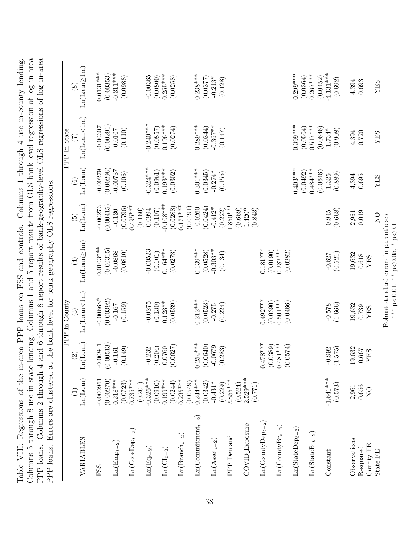<span id="page-38-0"></span>

| PPP loans. Errors are clustered at     |                                  |                           |                                                               | the bank-level for bank-geography OLS regressions |                                      |                         |                                  |                                     |
|----------------------------------------|----------------------------------|---------------------------|---------------------------------------------------------------|---------------------------------------------------|--------------------------------------|-------------------------|----------------------------------|-------------------------------------|
| VARIABLES                              | Ln(Loan)<br>E                    | Ln(Loan)<br>$\odot$       | Ln(Loan<1m)<br><b>PPP</b> In County<br>$\widehat{\mathbf{c}}$ | Ln(Loan <sub>2</sub> 1m)<br>$\bigoplus$           | Ln(Loan)<br>$\widetilde{\mathbf{5}}$ | Ln(Loan)<br>$\odot$     | Ln(Loan<1m)<br>PPP In State<br>E | $Ln(Loan \geq 1m)$<br>$\circledast$ |
| FSS                                    | $-0.000961$                      | $-0.00841$<br>$(0.00513)$ | $-0.00668*$                                                   | $0.0103***$                                       | $-0.00273$                           | $-0.00279$              | $-0.00307$                       | $0.0131***$                         |
| $Ln(Empt-2)$                           | (0.00270)<br>$0.218***$          | $-0.161$                  | (0.00392)<br>$-0.167$                                         | (0.00315)<br>$-0.0868$                            | (0.00415)<br>$-0.130$                | (0.00296)<br>$-0.00737$ | (0.00291)<br>0.0107              | $-0.311***$<br>(0.00353)            |
| $Ln(CoreDept-2)$                       | $0.735***$<br>(0.0723)           | (0.149)                   | (0.159)                                                       | (0.0810)                                          | $0.495***$<br>(0.0796)               | (0.106)                 | (0.110)                          | (0.0988)                            |
| $\mathrm{Ln}(\mathrm{Eq}_{t-2})$       | $-0.326***$<br>(0.201)           | $-0.232$                  | $-0.0275$                                                     | $-0.00523$                                        | (0.160)<br>0.0994                    | $0.324***$              | $-0.240***$                      | $-0.00365$                          |
| $\text{Ln}(\text{CI}_{t-2})$           | $0.199***$<br>(0.0910)           | (0.204)<br>0.0760         | $0.123**$<br>(0.130)                                          | $0.164***$<br>(0.101)                             | $-0.108***$<br>(0.107)               | $0.193***$<br>(0.0961)  | $0.196***$<br>(0.0857)           | $0.255***$<br>(0.0800)              |
| $\text{Ln}(\text{Branch}_{t-2})$       | $0.235***$<br>(0.0244)           | (0.0627)                  | (0.0539)                                                      | (0.0273)                                          | $0.171***$<br>(0.0288)               | (0.0302)                | (0.0274)                         | (0.0258)                            |
|                                        | (0.0549)                         |                           |                                                               |                                                   | (0.0491)                             |                         |                                  |                                     |
| $Ln(Comnitment_{t-2})$                 | $0.244***$                       | $0.254***$                | $0.212***$                                                    | $0.139***$                                        | $-0.0260$                            | $0.301***$              | $0.289***$                       | $0.238***$                          |
| $\text{Ln}(\text{A}\text{sset}_{t-2})$ | (0.0342)<br>$-0.431*$            | (0.0640)<br>$-0.0679$     | (0.0523)<br>$-0.275$                                          | $-0.303**$<br>(0.0528)                            | (0.0424)<br>$-0.412*$                | (0.0345)<br>$-0.274*$   | $-0.367**$<br>(0.0344)           | $-0.213*$<br>(0.0377)               |
|                                        | (0.229)                          | (0.283)                   | (0.224)                                                       | (0.134)                                           | (0.222)                              | (0.155)                 | (0.147)                          | (0.128)                             |
| PPP_Demand                             | $2.855***$                       |                           |                                                               |                                                   | $1.850***$                           |                         |                                  |                                     |
| $\mathrm{COVID\_Exposure}$             | $2.529***$<br>(0.524)<br>(0.771) |                           |                                                               |                                                   | (0.669)<br>(0.843)<br>$1.420*$       |                         |                                  |                                     |
| $\text{Ln}(\text{CountryDep}_{t-2})$   |                                  | $0.478***$                | $0.492***$                                                    | $0.181***$                                        |                                      |                         |                                  |                                     |
| $Ln(CountyBr_{t-2})$                   |                                  | $0.481***$<br>(0.0389)    | $0.501***$<br>(0.0390)                                        | $0.282***$<br>(0.0190)                            |                                      |                         |                                  |                                     |
| $\text{Ln}(\text{StateDep}_{t-2})$     |                                  | (0.0574)                  | (0.0466)                                                      | (0.0282)                                          |                                      | $0.403***$              | $0.399***$                       | $0.299***$                          |
|                                        |                                  |                           |                                                               |                                                   |                                      | (0.0492)                | (0.0504)                         | (0.0364)                            |
| $\text{Ln}(\text{StateBr}_{t-2})$      |                                  |                           |                                                               |                                                   |                                      | $0.484***$<br>(0.0646)  | $0.517***$<br>(0.0646)           | $0.267***$<br>(0.0452)              |
| Constant                               | $-1.641***$                      | $-0.992$                  | $-0.578$                                                      | $-0.627$                                          | 0.945                                | 1.325                   | $1.734*$                         | $-4.131***$                         |
|                                        | (0.573)                          | (1.575)                   | (1.666)                                                       | (0.521)                                           | (0.668)                              | (0.889)                 | (0.908)                          | (0.692)                             |
| Observations                           | 2,961                            | 19,632                    | 19,632                                                        | 19,632                                            | 2,961                                | 4,394                   | 4,394                            | 4,394                               |
| County FE<br>R-squared                 | 0.656<br>$\overline{N}$          | 0.667<br><b>AES</b>       | 0.739<br>YES                                                  | 0.618<br>YES                                      | 0.019                                | 0.695                   | 0.720                            | 0.693                               |
| State FE                               |                                  |                           |                                                               |                                                   | $\overline{Q}$                       | YES                     | YES                              | YES                                 |
|                                        |                                  |                           |                                                               | Robust standard errors in parentheses             |                                      |                         |                                  |                                     |

Table VIII: Regressions of the in-area PPP loans on FSS and controls. Columns 1 through 4 use in-county lending.

Table VIII: Regressions of the in-area PPP loans on FSS and controls. Columns 1 through 4 use in-county lending.

*<*0.01, \*\* p  $<$ 0.05,  $*$  p $\sim$ *<*0.1

 $\sum_{\stackrel{*}{\ast}\ast}$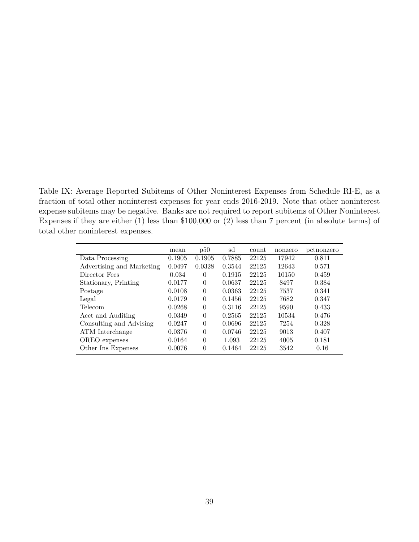<span id="page-39-0"></span>Table IX: Average Reported Subitems of Other Noninterest Expenses from Schedule RI-E, as a fraction of total other noninterest expenses for year ends 2016-2019. Note that other noninterest expense subitems may be negative. Banks are not required to report subitems of Other Noninterest Expenses if they are either (1) less than \$100,000 or (2) less than 7 percent (in absolute terms) of total other noninterest expenses.

|                           | mean   | p50      | sd     | count | nonzero | pctnonzero |
|---------------------------|--------|----------|--------|-------|---------|------------|
| Data Processing           | 0.1905 | 0.1905   | 0.7885 | 22125 | 17942   | 0.811      |
| Advertising and Marketing | 0.0497 | 0.0328   | 0.3544 | 22125 | 12643   | 0.571      |
| Director Fees             | 0.034  | $\theta$ | 0.1915 | 22125 | 10150   | 0.459      |
| Stationary, Printing      | 0.0177 | $\Omega$ | 0.0637 | 22125 | 8497    | 0.384      |
| Postage                   | 0.0108 | $\Omega$ | 0.0363 | 22125 | 7537    | 0.341      |
| Legal                     | 0.0179 | $\theta$ | 0.1456 | 22125 | 7682    | 0.347      |
| <b>Telecom</b>            | 0.0268 | $\Omega$ | 0.3116 | 22125 | 9590    | 0.433      |
| Acct and Auditing         | 0.0349 | $\Omega$ | 0.2565 | 22125 | 10534   | 0.476      |
| Consulting and Advising   | 0.0247 | $\Omega$ | 0.0696 | 22125 | 7254    | 0.328      |
| ATM Interchange           | 0.0376 | $\Omega$ | 0.0746 | 22125 | 9013    | 0.407      |
| OREO expenses             | 0.0164 | $\Omega$ | 1.093  | 22125 | 4005    | 0.181      |
| Other Ins Expenses        | 0.0076 | $\theta$ | 0.1464 | 22125 | 3542    | 0.16       |
|                           |        |          |        |       |         |            |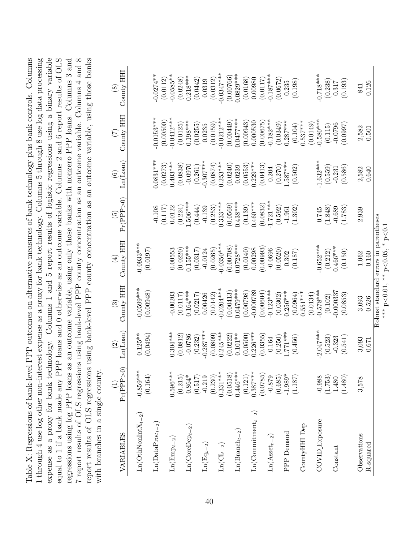<span id="page-40-0"></span>7 report results of OLS regressions using bank-level PPP county concentration as an outcome variable. Columns 4 and 8 Table X: Regressions of bank-level PPP outcomes on alternative measures of bank technology plus bank controls. Columns expense as a proxy for bank technology. Columns 1 and 5 report results of logistic regressions using a binary variable equal to 1 if a bank made any PPP loans and 0 otherwise as an outcome variable. Columns 2 and 6 report results of OLS 7 report results of OLS regressions using bank-level PPP county concentration as an outcome variable. Columns 4 and 8 report results of OLS regressions using bank-level PPP county concentration as an outcome variable, using those banks 1 through 4 use log other non-interest expense as a proxy for bank technology. Columns 5 through 8 use log data processing regressions using log PPP loans as an outcome variable, using only those banks with nonzero PPP loans. Columns 3 and Table X: Regressions of bank-level PPP outcomes on alternative measures of bank technology plus bank controls. Columns 1 through 4 use log other non-interest expense as a proxy for bank technology. Columns 5 through 8 use log data processing expense as a proxy for bank technology. Columns 1 and 5 report results of logistic regressions using a binary variable equal to 1 if a bank made any PPP loans and 0 otherwise as an outcome variable. Columns 2 and 6 report results of OLS regressions using log PPP loans as an outcome variable, using only those banks with nonzero PPP loans. Columns 3 and report results of OLS regressions using bank-level PPP county concentration as an outcome variable, using those banks with branches in a single county. with branches in a single county.

| VARIABLES                                            | Pr(PPP > 0)            | Ln(Loan)<br>$\widehat{\mathfrak{O}}$ | County HHI<br>$\widehat{\mathbb{G}}$  | County HH<br>$\widehat{A}$     | Pr(PPP>0)<br>$\widetilde{\mathbb{P}}$ | Ln(Loan)<br>$\widehat{\circ}$ | County HH<br>E | County HH<br>$\circledast$ |
|------------------------------------------------------|------------------------|--------------------------------------|---------------------------------------|--------------------------------|---------------------------------------|-------------------------------|----------------|----------------------------|
| $\text{Ln}(\text{Oth} \text{NonInt} X_{t-2})$        | $-0.859***$<br>(0.164) | $0.125**$                            | $-0.0599***$<br>(0.00948)             | $-0.0933***$                   |                                       |                               |                |                            |
| $\text{Ln}(\text{DataProc}_{t-2})$                   |                        | (0.0494)                             |                                       | (0.0197)                       | $-0.108$                              | $0.0831***$                   | $0.0153***$    | $0.0274***$                |
|                                                      |                        |                                      |                                       |                                | (0.117)                               | (0.0273)                      | (0.00500)      | (0.0112)                   |
| $Ln(Empt-2)$                                         | $0.596***$             | $0.304***$                           | $-0.00203$                            | 0.00553                        | 0.0122                                | $0.403***$                    | $0.0412***$    | $-0.0585***$               |
|                                                      | (0.215)                | (0.0812)                             | (0.0117)                              | (0.0220)                       | (0.224)                               | (0.0838)                      | (0.0125)       | (0.0248)                   |
| $Ln(CoreDep_{t-2})$                                  | $0.864*$               | $-0.0786$                            | $0.164***$                            | $0.155***$                     | $.506***$                             | $-0.0970$                     | $0.198***$     | $0.218***$                 |
|                                                      | (0.517)                | (0.232)                              | (0.0217)                              | (0.0317)                       | (0.444)                               | (0.261)                       | (0.0255)       | (0.0442)                   |
| $\mathrm{Ln}(\mathrm{Eq}_{t-2})$                     | $-0.219$               | $-0.287***$                          | 0.00426                               | $-0.0124$                      | $-0.139$                              | $-0.307***$                   | 0.0235         | 0.0319                     |
|                                                      | (0.230)                | (0.0809)                             | (0.0142)                              | (0.0265)                       | (0.253)                               | (0.0874)                      | (0.0159)       | (0.0312)                   |
| $\mathop{\rm Ln}\nolimits({\rm CI}_{t-2})$           | $0.331***$             | $0.245***$                           | $0.0204***$                           | $-0.0350***$                   | $0.333***$                            | $0.253***$                    | $0.0212***$    | $-0.0347***$               |
|                                                      | (0.0518)               | (0.0222)                             | (0.00413)                             | (0.00708)                      | (0.0569)                              | (0.0240)                      | (0.00449)      | (0.00766)                  |
| $\text{Ln}(\text{Branch}_{t-2})$                     | $0.446***$             | $0.101***$                           | $0.0479***$                           | $0.0728***$                    | $0.438***$                            | 0.0239                        | $0.0477***$    | $0.0829***$                |
|                                                      | (0.121)                | (0.0500)                             | (0.00798)                             | (0.0140)                       | (0.139)                               | (0.0553)                      | (0.00943)      | (0.0168)                   |
| $Ln(Commitment_{t-2})$                               | $0.387***$             | $0.226***$                           | $-0.000789$                           | 0.00298                        | $0.460***$                            | $0.229***$                    | 0.000530       | 0.00980                    |
|                                                      | (0.0785)               | (0.0355)                             | (0.00604)                             | (0.00993)                      | (0.0832)                              | (0.0413)                      | (0.00675)      | (0.0117)                   |
| $\mathrm{Ln}\big(\mathrm{A}\mathit{sset}_{t-2}\big)$ | $-0.879$               | 0.164                                | $-0.123***$                           | $-0.0696$                      | $1.721***$                            | 0.204                         | $-0.182***$    | $-0.187***$                |
|                                                      | (0.685)                | (0.250)                              | (0.0302)                              | (0.0520)                       | (0.592)                               | (0.270)                       | (0.0349)       | (0.0672)                   |
| PPP <sub>_</sub> Demand                              | $-1.989*$              | ***177.                              | $0.256***$                            | 0.302                          | $-1.961$                              | $.587***$                     | $0.287***$     | 0.235                      |
|                                                      | (1.187)                | (0.456)                              | (0.0964)                              | (0.187)                        | (1.302)                               | (0.502)                       | (0.104)        | (0.198)                    |
| CountyHH <sub>_Dep</sub>                             |                        |                                      | $0.551***$                            |                                |                                       |                               | $0.537***$     |                            |
|                                                      |                        |                                      | (0.0134)                              |                                |                                       |                               | (0.0149)       |                            |
| COVID_Exposure                                       | $-0.988$               | $2.047***$                           | $-0.578***$                           | $-0.652***$                    | 0.745                                 | $1.632***$                    | $-0.580***$    | $-0.718***$                |
|                                                      | (1.753)                | (0.523)                              | (0.102)                               | (0.212)                        | (1.848)                               | (0.559)                       | (0.115)        | (0.238)                    |
| Constant                                             | 1.480                  | $-0.323$                             | 0.000337                              | $0.466***$                     | $-0.689$                              | $-0.231$                      | $-0.0796$      | 0.317                      |
|                                                      | (1.480)                | (0.541)                              | (0.0853)                              | (0.150)                        | (1.783)                               | (0.586)                       | (0.0997)       | (0.193)                    |
| Observations                                         | 3,578                  | 3,093                                | 3,093                                 | $1,\!062$                      | 2,939                                 | 2,582                         | 2,582          | 841                        |
| $R$ -squared                                         |                        | 0.671                                | 0.526                                 | 0.160                          |                                       | 0.640                         | 0.501          | 0.126                      |
|                                                      |                        |                                      | Robust standard errors in parentheses | *** p<0.01, ** p<0.05, * p<0.1 |                                       |                               |                |                            |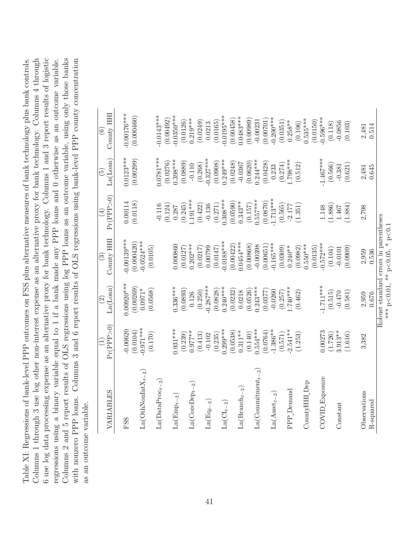<span id="page-41-0"></span>6 use log data processing expense as an alternative proxy for bank technology. Columns 1 and 3 report results of logistic regressions using a binary variable equal to 1 if a bank made any PPP loans and 0 otherwise as an outcome variable. Columns 2 and 5 report results of OLS regressions using log PPP loans as an outcome variable, using only those banks Table XI: Regressions of bank-level PPP outcomes on FSS plus alternative measures of bank technology plus bank controls. Columns 1 through 3 use log other non-interest expense as an alternative proxy for bank technology. Columns 4 through with nonzero PPP loans. Columns 3 and 6 report results of OLS regressions using bank-level PPP county concentration Table XI: Regressions of bank-level PPP outcomes on FSS plus alternative measures of bank technology plus bank controls. Columns 1 through 3 use log other non-interest expense as an alternative proxy for bank technology. Columns 4 through 6 use log data processing expense as an alternative proxy for bank technology. Columns 1 and 3 report results of logistic regressions using a binary variable equal to 1 if a bank made any PPP loans and 0 otherwise as an outcome variable. Columns 2 and 5 report results of OLS regressions using log PPP loans as an outcome variable, using only those banks with nonzero PPP loans. Columns 3 and 6 report results of OLS regressions using bank-level PPP county concentration as an outcome variable. as an outcome variable.

| VARIABLES                                    | Pr(PPP > 0)                        | Ln(Loan)<br>$\widehat{\Omega}$     | County HHI<br>$\widehat{\mathbb{C}}$                                    | Pr(PPP > 0)<br>$\widehat{E}$ | Ln(Loan)<br>$\widetilde{\Theta}$ | County HHI<br>$\widehat{\circ}$ |
|----------------------------------------------|------------------------------------|------------------------------------|-------------------------------------------------------------------------|------------------------------|----------------------------------|---------------------------------|
| FSS                                          | $-0.00620$                         | $0.00920***$                       | $0.00139***$                                                            | 0.00114                      | $0.0123***$                      | $-0.00176***$                   |
| $\text{Ln}(\text{OthNonInt} \text{X}_{t-2})$ | $-0.971***$<br>(0.0104)<br>(0.170) | (0.00269)<br>$0.0971*$<br>(0.0568) | $-0.0524***$<br>(0.000420)<br>(0.0105)                                  | (0.0118)                     | (0.00299)                        | (0.000460)                      |
| $\text{Ln}(\text{DataProc}_{t-2})$           |                                    |                                    |                                                                         | (0.124)<br>$-0.116$          | $-0781***$<br>(0.0276)           | $0.0143***$<br>(0.00492)        |
| $\text{Ln}(\text{Emp}_{t-2})$                | $0.931***$                         | $0.336***$                         | 0.000860                                                                | 0.287                        | $0.398***$                       | $-0.0350***$                    |
| $\text{Ln}(\text{CoreDep}_{t-2})$            | $0.977**$<br>(0.239)               | (0.0893)<br>0.126                  | $0.202***$<br>(0.0127)                                                  | $1.191***$<br>(0.245)        | (0.0889)<br>$-0.110$             | $0.219***$<br>(0.0126)          |
| $\operatorname{Ln}(\mathrm{Eq}_{t-2})$       | (0.413)<br>$-0.102$                | $-0.287***$<br>(0.250)             | 0.00799<br>(0.0217)                                                     | (0.422)<br>$-0.136$          | $-0.327***$<br>(0.268)           | (0.0249)<br>0.0213              |
|                                              | (0.235)                            | (0.0828)                           | (0.0147)                                                                | (0.271)                      | (0.0908)                         | (0.0165)                        |
| $\text{Ln}(\text{CI}_{t-2})$                 | $0.299***$<br>(0.0538)             | $0.240***$<br>(0.0232)             | $-0.0188***$<br>(0.00422)                                               | $0.308***$<br>(0.0590)       | $0.249***$<br>(0.0248)           | $-0.0195***$<br>(0.00458)       |
| $Ln(Brand_{t-2}$                             | $0.311***$                         | 0.0218                             | $0.0454***$                                                             | $0.343**$                    | $-0.0367$                        | $0.0483***$                     |
| $Ln(Commitment_{t-2})$                       | $0.554***$<br>(0.140)              | $0.243***$<br>(0.0526)             | (0.00868)<br>$-0.00398$                                                 | $0.557***$<br>(0.157)        | $0.244***$<br>(0.0620)           | (0.00989)<br>$-0.00231$         |
|                                              | (0.0764)                           | (0.0377)                           | (0.00651)                                                               | (0.0870)                     | (0.0428)                         | (0.00701)                       |
| $\text{Ln}(\text{Asset}_{t-2})$              | $-1.386**$<br>(0.571)              | $-0.0260$<br>(0.257)               | $-0.165***$<br>(0.0309)                                                 | $1.713***$<br>(0.565)        | (0.274)<br>0.233                 | $-0.200***$<br>(0.0351)         |
| PPP_Demand                                   | $2.541***$                         | $.740***$                          | $0.240**$                                                               | $-2.177$                     | $~.798***$                       | $0.258***$                      |
| CountyHHI <sub>Dep</sub>                     | (1.253)                            | (0.462)                            | $0.550***$<br>(0.0982)                                                  | (1.351)                      | (0.512)                          | $0.535***$<br>(0.106)           |
| COVID Exposure                               | 0.00273                            | $1.711***$                         | $0.572***$<br>(0.0135)                                                  | 1.148                        | $1.467***$                       | $0.596***$<br>(0.0150)          |
|                                              | (1.726)                            | (0.515)                            | (0.104)                                                                 | (1.886)                      | (0.566)                          | (0.118)                         |
| Constant                                     | $3.913**$                          | $-0.470$                           | $-0.0101$                                                               | $1.467\,$                    | $-0.381$                         | $-0.0856$                       |
|                                              | (1.616)                            | (0.581)                            | 0.0909                                                                  | (1.884)                      | (0.621)                          | (0.103)                         |
| Observations                                 | 3,382                              | 2,959                              | 2,959                                                                   | 2,798                        | 2,481                            | 2,481                           |
| R-squared                                    |                                    | 0.676                              | 0.536                                                                   |                              | 0.645                            | 0.514                           |
|                                              |                                    |                                    | Robust standard errors in parentheses<br>*** p<0.01, ** p<0.05, * p<0.1 |                              |                                  |                                 |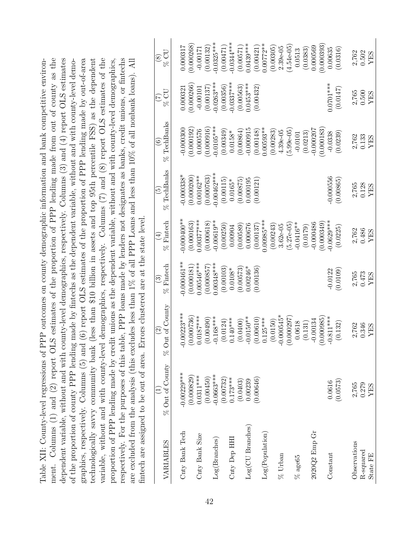<span id="page-42-0"></span>

| ment. Columns (1) and (2) report OLS estimates of the proportion of PPP lending made from out of county as the<br>dependent variable, without and with county-level demographics, respectively. Columns (3) and (4) report OLS estimates<br>proportion of PPP lending made by credit unions as the dependent variable, without and with county-level demographics,<br>respectively. For the purposes of this table, PPP loans made by lenders not designates as banks, credit unions, or fintechs<br>Table XII: County-level regressions of PPP outcomes on county demographic information and bank competitive environ-<br>are excluded from the analysis (this excludes less than $1\%$ of all PPP Loans and less than $10\%$ of all nonbank loans). All<br>fintech are assigned to be out of area. Errors clustered are at the state level.<br>of the proportion of county PPP lending<br>graphics, respectively. Columns (5) and<br>variable, without and with county-level<br>technologically savvy community bank |                                        |                                               |                                          |                                              |                                          | (less than \$10 billion in assets and top 95th percentile FSS) as the dependent<br>(6) report OLS estimates of the proportion of PPP lending made by out-of-area<br>demographics, respectively. Columns (7) and (8) report OLS estimates of the<br>made by fintechs as the dependent variable, without and with county-level demo- |                                       |                                       |
|-------------------------------------------------------------------------------------------------------------------------------------------------------------------------------------------------------------------------------------------------------------------------------------------------------------------------------------------------------------------------------------------------------------------------------------------------------------------------------------------------------------------------------------------------------------------------------------------------------------------------------------------------------------------------------------------------------------------------------------------------------------------------------------------------------------------------------------------------------------------------------------------------------------------------------------------------------------------------------------------------------------------------|----------------------------------------|-----------------------------------------------|------------------------------------------|----------------------------------------------|------------------------------------------|------------------------------------------------------------------------------------------------------------------------------------------------------------------------------------------------------------------------------------------------------------------------------------------------------------------------------------|---------------------------------------|---------------------------------------|
| VARIABLES                                                                                                                                                                                                                                                                                                                                                                                                                                                                                                                                                                                                                                                                                                                                                                                                                                                                                                                                                                                                               | $\%$ Out of County                     | $%$ Out of County<br>$\widehat{\mathfrak{O}}$ | % Fintech<br>$\widehat{\mathbb{C}}$      | Fintech<br>$\widehat{\Xi}$<br>8 <sup>o</sup> | TechBanks<br>$\widetilde{5}$<br>88       | % TechBanks<br>$\widehat{\odot}$                                                                                                                                                                                                                                                                                                   | $\%$ CU<br>$(\zeta)$                  | $\%$ CU<br>$\circledast$              |
| Cnty Bank Tech                                                                                                                                                                                                                                                                                                                                                                                                                                                                                                                                                                                                                                                                                                                                                                                                                                                                                                                                                                                                          | $-0.00229***$                          | $-0.00223***$                                 | $0.000461**$                             | $-0.000400**$                                | $-0.000338*$                             | $-0.000300$                                                                                                                                                                                                                                                                                                                        | 0.000321                              | 0.000317                              |
| ${\rm Cnty}$ Bank ${\rm Size}$                                                                                                                                                                                                                                                                                                                                                                                                                                                                                                                                                                                                                                                                                                                                                                                                                                                                                                                                                                                          | (0.000829)<br>$0.0311***$<br>(0.00450) | (0.000736)<br>$0.0187***$<br>(0.00490)        | $0.00546***$<br>(0.000181)<br>(0.000857) | $0.00377***$<br>(0.000163)<br>(0.000618)     | (0.000763)<br>(0.000200)<br>$0.00162***$ | (0.000916)<br>(0.000192)<br>0.000576                                                                                                                                                                                                                                                                                               | (0.000266)<br>(0.00137)<br>$-0.00101$ | (0.000268)<br>(0.00132)<br>$-0.00171$ |
| Log(Branches)                                                                                                                                                                                                                                                                                                                                                                                                                                                                                                                                                                                                                                                                                                                                                                                                                                                                                                                                                                                                           | $-0.0663***$<br>(0.00732)              | $0.168***$<br>(0.0124)                        | $0.00348***$<br>(0.00103)                | $-0.00619**$<br>(0.00250)                    | $-0.00462***$<br>(0.00115)               | $-0.0105***$<br>(0.00349)                                                                                                                                                                                                                                                                                                          | $-0.0263***$<br>(0.00356)             | $-0.0325***$<br>(0.00471)             |
| Cnty Dep HHI                                                                                                                                                                                                                                                                                                                                                                                                                                                                                                                                                                                                                                                                                                                                                                                                                                                                                                                                                                                                            | $0.173***$<br>(0.0403)                 | $0.140***$<br>(0.0400)                        | (0.00573)<br>$0.0108*$                   | (0.00589)<br>0.00904                         | (0.00875)<br>$0.0165*$                   | (0.00864)<br>$0.0158*$                                                                                                                                                                                                                                                                                                             | $-0.0337***$<br>(0.00563)             | $-0.0344***$<br>(0.00571)             |
| Log(CU Branches)                                                                                                                                                                                                                                                                                                                                                                                                                                                                                                                                                                                                                                                                                                                                                                                                                                                                                                                                                                                                        | (0.00646)<br>0.00239                   | $0.0150**$<br>(0.00610)                       | $0.00246*$<br>(0.00136)                  | 0.000676<br>(0.00137)                        | (0.00121)<br>0.000195                    | $-0.000915$<br>(0.00148)                                                                                                                                                                                                                                                                                                           | $0.0453***$<br>(0.00432)              | $0.0439***$<br>(0.00421)              |
| $\rm Log(Population)$                                                                                                                                                                                                                                                                                                                                                                                                                                                                                                                                                                                                                                                                                                                                                                                                                                                                                                                                                                                                   |                                        | $0.125***$<br>(0.0150)                        |                                          | $0.00985***$<br>(0.00243)                    |                                          | $0.00593**$<br>(0.00283)                                                                                                                                                                                                                                                                                                           |                                       | $0.00772**$<br>(0.00305)              |
| $\%$ Urban                                                                                                                                                                                                                                                                                                                                                                                                                                                                                                                                                                                                                                                                                                                                                                                                                                                                                                                                                                                                              |                                        | $-0.000545*$<br>(0.000297)                    |                                          | $(5.27e-05)$<br>$3.62e-05$                   |                                          | $5.99 - 05$<br>$4.39 - 05$                                                                                                                                                                                                                                                                                                         |                                       | $(4.54e-05)$<br>$2.39e-05$            |
| $\%$ age<br>65                                                                                                                                                                                                                                                                                                                                                                                                                                                                                                                                                                                                                                                                                                                                                                                                                                                                                                                                                                                                          |                                        | 0.0618<br>(0.131)                             |                                          | $-0.0416**$<br>(0.0179)                      |                                          | (0.0213)<br>$-0.0101$                                                                                                                                                                                                                                                                                                              |                                       | (0.0383)<br>0.0513                    |
| 2020Q2 Emp Gr                                                                                                                                                                                                                                                                                                                                                                                                                                                                                                                                                                                                                                                                                                                                                                                                                                                                                                                                                                                                           |                                        | (0.000985)<br>$-0.00134$                      |                                          | (0.000349)<br>$-0.000486$                    |                                          | (0.000183)<br>$-0.000207$                                                                                                                                                                                                                                                                                                          |                                       | (0.000393)<br>0.000569                |
| Constant                                                                                                                                                                                                                                                                                                                                                                                                                                                                                                                                                                                                                                                                                                                                                                                                                                                                                                                                                                                                                | (0.0573)<br>0.0616                     | $0.811***$<br>(0.132)                         | (0.0109)<br>$-0.0122$                    | $-0.0629***$<br>(0.0225)                     | $-0.000556$<br>(0.00865)                 | (0.0239)<br>$-0.0338$                                                                                                                                                                                                                                                                                                              | $0.0701***$<br>(0.0147)               | 0.00635<br>(0.0316)                   |
| Observations<br>R-squared                                                                                                                                                                                                                                                                                                                                                                                                                                                                                                                                                                                                                                                                                                                                                                                                                                                                                                                                                                                               | 2,765<br>0.279                         | 2,762<br>0.346                                | 2,765<br>0.473                           | 2,762<br>0.486                               | 2,765<br>0.128                           | 2,762<br>0.133                                                                                                                                                                                                                                                                                                                     | 2,765<br>0.500                        | 2,762<br>0.502                        |
| State FE                                                                                                                                                                                                                                                                                                                                                                                                                                                                                                                                                                                                                                                                                                                                                                                                                                                                                                                                                                                                                | YES                                    | YES                                           | <b>ATES</b>                              | YES                                          | YES                                      | YES                                                                                                                                                                                                                                                                                                                                | YES                                   | YES                                   |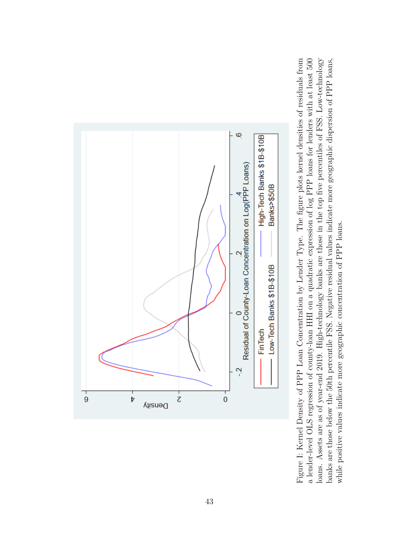<span id="page-43-0"></span>

Figure I: Kernel Density of PPP Loan Concentration by Lender Type. The figure plots kernel densities of residuals from a lender-level OLS regression of county-loan HHI on a quadratic expression of log PPP loans for lenders with at least 500 loans. Assets are as of year-end 2019. High-technology banks are those in the top five percentiles of FSS. Low-technology banks are those below the 50th percentile FSS. Negative residual values indicate more geographic dispersion of PPP loans, Figure I: Kernel Density of PPP Loan Concentration by Lender Type. The figure plots kernel densities of residuals from a lender-level OLS regression of county-loan HHI on a quadratic expression of log PPP loans for lenders with at least 500 loans. Assets are as of year-end 2019. High-technology banks are those in the top five percentiles of FSS. Low-technology banks are those below the 50th percentile FSS. Negative residual values indicate more geographic dispersion of PPP loans, while positive values indicate more geographic concentration of PPP loans. while positive values indicate more geographic concentration of PPP loans.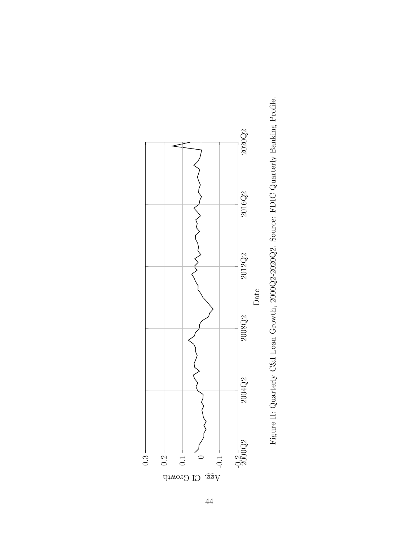<span id="page-44-0"></span>

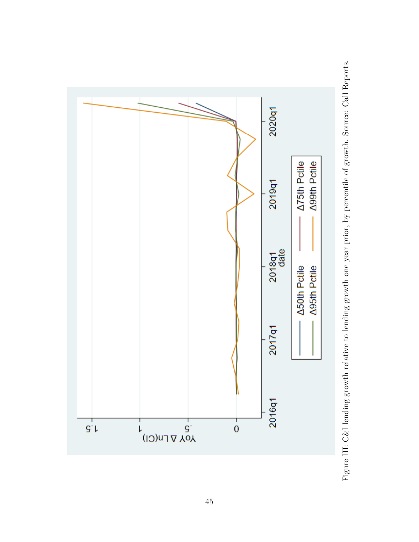<span id="page-45-0"></span>

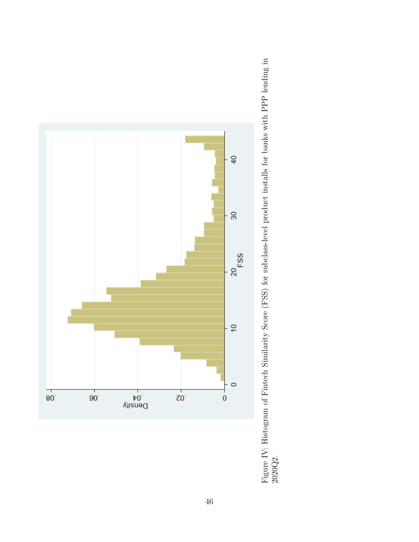<span id="page-46-0"></span>

Figure IV: Histogram of Fintech Similarity Score (FSS) for subclass-level product installs for banks with PPP lending in Figure IV: Histogram of Fintech Similarity Score (FSS) for subclass-level product installs for banks with PPP lending in 2020Q2.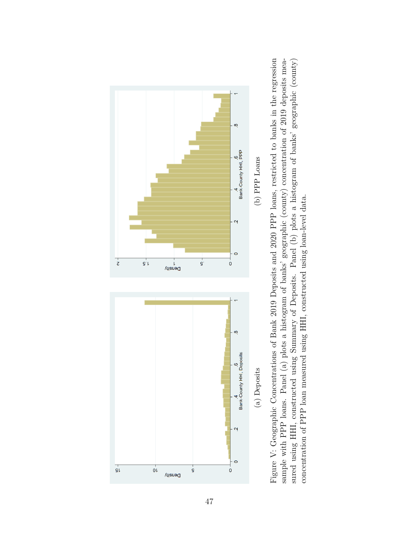<span id="page-47-0"></span>

Figure V: Geographic Concentrations of Bank 2019 Deposits and 2020 PPP loans, restricted to banks in the regression sample with PPP loans. Panel (a) plots a histogram of banks' geographic (county) concentration of 2019 deposits measured using HHI, constructed using Summary of Deposits. Panel (b) plots a histogram of banks' geographic (county) Figure V: Geographic Concentrations of Bank 2019 Deposits and 2020 PPP loans, restricted to banks in the regression sample with PPP loans. Panel (a) plots a histogram of banks' geographic (county) concentration of 2019 deposits measured using HHI, constructed using Summary of Deposits. Panel (b) plots a histogram of banks' geographic (county) concentration of PPP loan measured using HHI, constructed using loan-level data. concentration of PPP loan measured using HHI, constructed using loan-level data.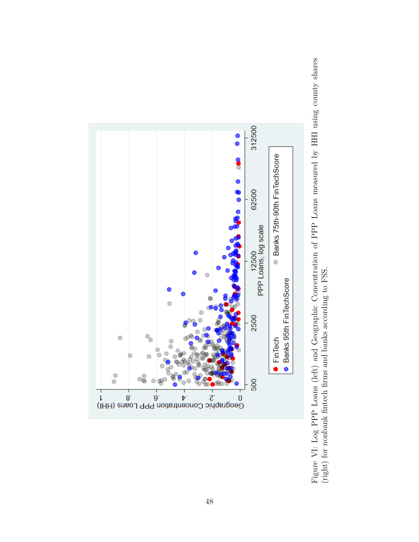<span id="page-48-0"></span>

Figure VI: Log PPP Loans (left) and Geographic Concentration of PPP Loans measured by HHI using county shares Figure VI: Log PPP Loans (left) and Geographic Concentration of PPP Loans measured by HHI using county shares (right) for nonbank fintech firms and banks according to FSS. (right) for nonbank fintech firms and banks according to FSS.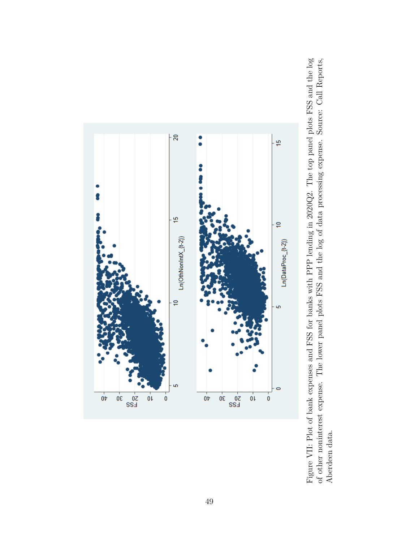<span id="page-49-0"></span>



49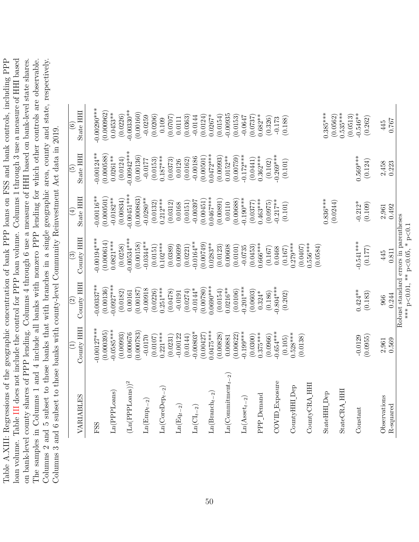<span id="page-50-0"></span>Table A.XIII: Regressions of the geographic concentration of bank PPP loans on FSS and bank controls, including PPP loan volume. Table III does not include the control for PPP loan volume. Columns 1 through 3 use a measure of HHI based on bank-level county shares of PPP lending. Columns 4 through 6 use a measure of HHI based on bank-level state shares. The samples in Columns 1 and 4 include all banks with nonzero PPP lending for which other controls are observable. Columns 2 and 5 subset to those banks that with branches in a single geographic area, county and state, respectively. Table A.XIII: Regressions of the geographic concentration of bank PPP loans on FSS and bank controls, including PPP loan volume. Table [III](#page-33-0) does not include the control for PPP loan volume. Columns 1 through 3 use a measure of HHI based on bank-level county shares of PPP lending. Columns 4 through 6 use a measure of HHI based on bank-level state shares. The samples in Columns 1 and 4 include all banks with nonzero PPP lending for which other controls are observable. Columns 2 and 5 subset to those banks that with branches in a single geographic area, county and state, respectively. Columns 3 and 6 subset to those banks with county-level Community Reinvestment Act data in 2019. Columns 3 and 6 subset to those banks with county-level Community Reinvestment Act data in 2019.

| VARIABLES                                        | County HHI<br>$\widehat{\Xi}$ | County HHI<br>$\widehat{c}$           | $\text{Conv} \quad \text{HH}$<br>$\widehat{\mathbb{G}}$ | State HHI<br>$(\pm)$      | State HHI<br>$\widetilde{\mathbb{G}}$ | State HHI<br>$\odot$      |
|--------------------------------------------------|-------------------------------|---------------------------------------|---------------------------------------------------------|---------------------------|---------------------------------------|---------------------------|
| FSS                                              | $0.00127***$                  | $0.00337***$                          | $0.00194***$                                            | $-0.00116**$              | $-0.00124**$                          | $0.00290***$              |
| Ln(PPLoans)                                      | $-0.0585***$<br>(0.000395)    | $-0.0927***$<br>(0.00136)             | (0.000614)<br>$0.0821***$                               | (0.000501)<br>$-0.0182**$ | (0.000588)<br>$0.0261***$             | (0.000962)<br>$0.0453***$ |
|                                                  | (0.00993)                     | (0.0182)                              | (0.0258)                                                | (0.00834)                 | (0.0124)                              | (0.0226)                  |
| $(Ln(PPL)$ oans)) <sup>2</sup>                   | 0.000676                      | 0.00161                               | $-0.00534***$                                           | $-0.00451***$             | $-0.00942***$                         | $-0.00330**$              |
|                                                  | (0.000783)<br>$-0.0170$       | (0.00187)<br>$-0.00918$               | $-0.0344**$<br>(0.00158)                                | (0.000863)<br>$-0.0280**$ | (0.00136)                             | (0.00160)<br>$-0.0259$    |
| $Ln(Empt-2)$                                     | (0.0107)                      | (0.0226)                              | (0.0151)                                                | (0.0132)                  | (0.0153)<br>$-0.0177$                 | (0.0206)                  |
| $\text{Ln}(\text{CoreDep}_{t-2})$                | $0.221***$                    | $0.251***$                            | $0.102***$                                              | $0.212***$                | $0.187***$                            | 0.109                     |
|                                                  | (0.0231)                      | (0.0478)                              | (0.0389)                                                | (0.0312)                  | (0.0373)                              | (0.0707)                  |
| $\mathop{\rm Ln}(\mathop{\rm Eq}\nolimits_{t-2}$ | $-0.00122$<br>(0.0144)        | (0.0274)<br>$-0.0191$                 | (0.0221)<br>0.00699                                     | (0.0151)<br>0.0168        | (0.0162)<br>0.0126                    | (0.0363)<br>0.0111        |
| $\text{Ln}(\text{CI}_{t-2})$                     | $0.00803*$                    | $-0.0144*$                            | $-0.0164**$                                             | $-0.00397$                | $-0.00186$                            | $-0.0144$                 |
|                                                  | (0.00427)                     | (0.00780)                             | (0.00749)                                               | (0.00451)                 | (0.00501)                             | (0.0124)                  |
| $\text{Ln}(\text{Branch}_{t-2})$                 | $0.0475***$                   | $0.0690***$                           | $0.0283**$                                              | $0.0467***$               | $0.0472***$                           | $0.0267*$                 |
|                                                  | (0.00828)                     | (0.0154)                              | (0.0123)                                                | (0.00891)                 | (0.00993)                             | (0.0154)                  |
| $Ln(Commitment_{t-2})$                           | 0.00881                       | $0.0216**$                            | 0.00608                                                 | 0.0110                    | $0.0152***$                           | 0.00935                   |
|                                                  | $-0.199***$<br>(0.00622)      | $-0.201***$<br>(0.0106)               | (0.0101)                                                | $-0.190***$<br>(0.00688)  | $-0.172***$<br>(0.00759)              | (0.0153)                  |
| $\text{Ln}(\text{A}\text{sect}_{t-2})$           | (0.0300)                      | (0.0603)                              | (0.0453)<br>$-0.0735$                                   | (0.0377)                  | (0.0441)                              | $-0.0647$<br>(0.0737)     |
| PPP_Demand                                       | $0.375***$                    | $0.324*$                              | $0.666***$                                              | $0.463***$                | $0.362***$                            | $0.682***$                |
|                                                  | (0.0966)                      | (0.186)                               | (0.167)                                                 | (0.0975)                  | (0.102)                               | (0.326)                   |
| COVID_Exposure                                   | $-0.654***$                   | $0.804***$                            | 0.0468                                                  | $-0.217***$               | $-0.269***$                           | $-0.173$                  |
|                                                  | (0.105)                       | (0.202)                               | (0.167)                                                 | (0.101)                   | (0.101)                               | (0.188)                   |
| CountyHHI Dep                                    | $0.528***$<br>(0.0138)        |                                       | $0.279***$<br>(0.0407)                                  |                           |                                       |                           |
| CountyCRA HHI                                    |                               |                                       | $0.556***$                                              |                           |                                       |                           |
|                                                  |                               |                                       | (0.0584)                                                |                           |                                       |                           |
| StateHHI Dep                                     |                               |                                       |                                                         | $0.836***$                |                                       | $0.385***$                |
| StateCRA HH                                      |                               |                                       |                                                         | (0.0244)                  |                                       | $0.535***$<br>(0.0562)    |
|                                                  |                               |                                       |                                                         |                           |                                       | (0.0513)                  |
| Constant                                         | $-0.0129$                     | $0.424***$                            | $-0.541***$                                             | $-0.212*$                 | $0.569***$                            | $-0.546**$                |
|                                                  | (0.0955)                      | (0.183)                               | (0.177)                                                 | (0.109)                   | (0.124)                               | (0.262)                   |
| Observations                                     | 2,961                         | 966                                   | 445                                                     | 2,961                     | 2,458                                 | 445                       |
| R-squared                                        | 0.569                         | 0.244                                 | 0.811                                                   | 0.492                     | 0.223                                 | 1920                      |
|                                                  |                               | Robust standard errors in parentheses |                                                         |                           |                                       |                           |

\*\*\* p

 $\leq 0.01$ , \*\* p

 $<$ 0.05,  $*$  p $\sim$ 

*<*0.1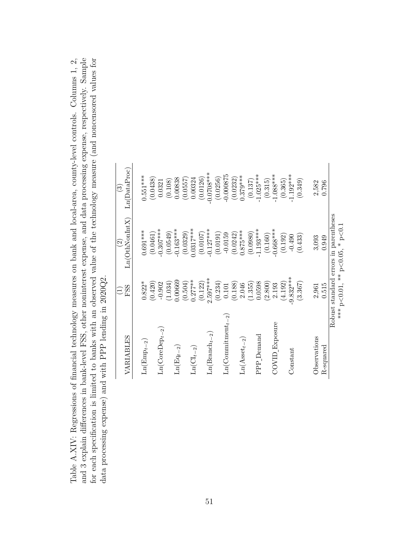<span id="page-51-0"></span>

| data processing expense) and with<br>for each specification is limited to | PPP lending in $2020Q2$ .     |                    |                                  | Table A.XIV: Regressions of financial technology measures on bank and local-area, county-level controls. Columns 1, 2,<br>and 3 explain differences in bank-level FSS, other noninterest expense, and data processing expense, respectively. Sample<br>banks with an observed value of the technology measure (and noncensored values for |
|---------------------------------------------------------------------------|-------------------------------|--------------------|----------------------------------|-------------------------------------------------------------------------------------------------------------------------------------------------------------------------------------------------------------------------------------------------------------------------------------------------------------------------------------------|
|                                                                           | VARIABLES                     | FSS                | $Ln(OthNonInt X)$ $Ln(DataProc)$ |                                                                                                                                                                                                                                                                                                                                           |
|                                                                           | $\text{Ln}(\text{Emp}_{t-2})$ | $\sim$<br>$0.822*$ | $0.691***$<br>$\sqrt{2}$         | $0.551***$<br>$\sim$ $\sim$ $\sim$                                                                                                                                                                                                                                                                                                        |

| Robust standard errors in parentheses<br>*** p<0.01, ** p<0.05, * p<0.1<br>$0.0317***$<br>$-0.127***$<br>$-1.193***$<br>$-0.668***$<br>$-0.307***$<br>$-0.163***$<br>$0.691***$<br>$0.875***$<br>(0.0461)<br>(0.0980)<br>(0.0549)<br>(0.0191)<br>(0.0329)<br>(0.0242)<br>$-0.0159$<br>(0.0107)<br>(0.160)<br>(0.433)<br>(0.192)<br>$-0.490$<br>3,093<br>0.949<br>$\widetilde{\mathcal{S}}$<br>$-9.832***$<br>$2.597***$<br>$0.277***$<br>0.00669<br>(3.367)<br>(0.234)<br>(0.420)<br>(2.800)<br>(1.034)<br>(0.504)<br>(0.122)<br>(1.355)<br>0.0598<br>$0.822*$<br>(4.192)<br>$-0.902$<br>(0.188)<br>2.046<br>2.193<br>0.515<br>0.101<br>2,961<br>FSS<br>E<br>$\text{Ln}(\text{Commitment}_{t-2})$<br>COVID_Exposure<br>$\text{Ln}(\text{CoreDep}_{t-2})$<br>$\text{Ln}(\text{Branch}_{t-2})$<br>PPP Demand<br>VARIABLES<br>Observations<br>$\text{Ln}(\text{A}\text{sset}_{t-2})$<br>$Ln(Empt-2)$<br>$\text{Ln}(\text{Eq}_{t-2})$<br>$Ln(\mathrm{CI}_{t-2})$<br>R-squared<br>Constant |  |                |                      |
|---------------------------------------------------------------------------------------------------------------------------------------------------------------------------------------------------------------------------------------------------------------------------------------------------------------------------------------------------------------------------------------------------------------------------------------------------------------------------------------------------------------------------------------------------------------------------------------------------------------------------------------------------------------------------------------------------------------------------------------------------------------------------------------------------------------------------------------------------------------------------------------------------------------------------------------------------------------------------------------|--|----------------|----------------------|
|                                                                                                                                                                                                                                                                                                                                                                                                                                                                                                                                                                                                                                                                                                                                                                                                                                                                                                                                                                                       |  |                | $\widetilde{\omega}$ |
|                                                                                                                                                                                                                                                                                                                                                                                                                                                                                                                                                                                                                                                                                                                                                                                                                                                                                                                                                                                       |  | Ln(OthNonIntX) | Ln(DataProc)         |
|                                                                                                                                                                                                                                                                                                                                                                                                                                                                                                                                                                                                                                                                                                                                                                                                                                                                                                                                                                                       |  |                |                      |
|                                                                                                                                                                                                                                                                                                                                                                                                                                                                                                                                                                                                                                                                                                                                                                                                                                                                                                                                                                                       |  |                | $0.551***$           |
|                                                                                                                                                                                                                                                                                                                                                                                                                                                                                                                                                                                                                                                                                                                                                                                                                                                                                                                                                                                       |  |                | (0.0438)             |
|                                                                                                                                                                                                                                                                                                                                                                                                                                                                                                                                                                                                                                                                                                                                                                                                                                                                                                                                                                                       |  |                | 0.0321               |
|                                                                                                                                                                                                                                                                                                                                                                                                                                                                                                                                                                                                                                                                                                                                                                                                                                                                                                                                                                                       |  |                | (0.108)              |
|                                                                                                                                                                                                                                                                                                                                                                                                                                                                                                                                                                                                                                                                                                                                                                                                                                                                                                                                                                                       |  |                | 0.00838              |
|                                                                                                                                                                                                                                                                                                                                                                                                                                                                                                                                                                                                                                                                                                                                                                                                                                                                                                                                                                                       |  |                | (0.0557)             |
|                                                                                                                                                                                                                                                                                                                                                                                                                                                                                                                                                                                                                                                                                                                                                                                                                                                                                                                                                                                       |  |                | 0.00324              |
|                                                                                                                                                                                                                                                                                                                                                                                                                                                                                                                                                                                                                                                                                                                                                                                                                                                                                                                                                                                       |  |                | (0.0126)             |
|                                                                                                                                                                                                                                                                                                                                                                                                                                                                                                                                                                                                                                                                                                                                                                                                                                                                                                                                                                                       |  |                | $-0.0708***$         |
|                                                                                                                                                                                                                                                                                                                                                                                                                                                                                                                                                                                                                                                                                                                                                                                                                                                                                                                                                                                       |  |                | (0.0256)             |
|                                                                                                                                                                                                                                                                                                                                                                                                                                                                                                                                                                                                                                                                                                                                                                                                                                                                                                                                                                                       |  |                | $-0.000875$          |
|                                                                                                                                                                                                                                                                                                                                                                                                                                                                                                                                                                                                                                                                                                                                                                                                                                                                                                                                                                                       |  |                | (0.0232)             |
|                                                                                                                                                                                                                                                                                                                                                                                                                                                                                                                                                                                                                                                                                                                                                                                                                                                                                                                                                                                       |  |                | $0.379***$           |
|                                                                                                                                                                                                                                                                                                                                                                                                                                                                                                                                                                                                                                                                                                                                                                                                                                                                                                                                                                                       |  |                | (0.137)              |
|                                                                                                                                                                                                                                                                                                                                                                                                                                                                                                                                                                                                                                                                                                                                                                                                                                                                                                                                                                                       |  |                | $-1.025***$          |
|                                                                                                                                                                                                                                                                                                                                                                                                                                                                                                                                                                                                                                                                                                                                                                                                                                                                                                                                                                                       |  |                | (0.315)              |
|                                                                                                                                                                                                                                                                                                                                                                                                                                                                                                                                                                                                                                                                                                                                                                                                                                                                                                                                                                                       |  |                | $-1.088***$          |
|                                                                                                                                                                                                                                                                                                                                                                                                                                                                                                                                                                                                                                                                                                                                                                                                                                                                                                                                                                                       |  |                | (0.365)              |
|                                                                                                                                                                                                                                                                                                                                                                                                                                                                                                                                                                                                                                                                                                                                                                                                                                                                                                                                                                                       |  |                | $-1.192***$          |
|                                                                                                                                                                                                                                                                                                                                                                                                                                                                                                                                                                                                                                                                                                                                                                                                                                                                                                                                                                                       |  |                | (0.349)              |
|                                                                                                                                                                                                                                                                                                                                                                                                                                                                                                                                                                                                                                                                                                                                                                                                                                                                                                                                                                                       |  |                | 2,582                |
|                                                                                                                                                                                                                                                                                                                                                                                                                                                                                                                                                                                                                                                                                                                                                                                                                                                                                                                                                                                       |  |                | 0.796                |
|                                                                                                                                                                                                                                                                                                                                                                                                                                                                                                                                                                                                                                                                                                                                                                                                                                                                                                                                                                                       |  |                |                      |
|                                                                                                                                                                                                                                                                                                                                                                                                                                                                                                                                                                                                                                                                                                                                                                                                                                                                                                                                                                                       |  |                |                      |
|                                                                                                                                                                                                                                                                                                                                                                                                                                                                                                                                                                                                                                                                                                                                                                                                                                                                                                                                                                                       |  |                |                      |
|                                                                                                                                                                                                                                                                                                                                                                                                                                                                                                                                                                                                                                                                                                                                                                                                                                                                                                                                                                                       |  |                |                      |
|                                                                                                                                                                                                                                                                                                                                                                                                                                                                                                                                                                                                                                                                                                                                                                                                                                                                                                                                                                                       |  |                |                      |